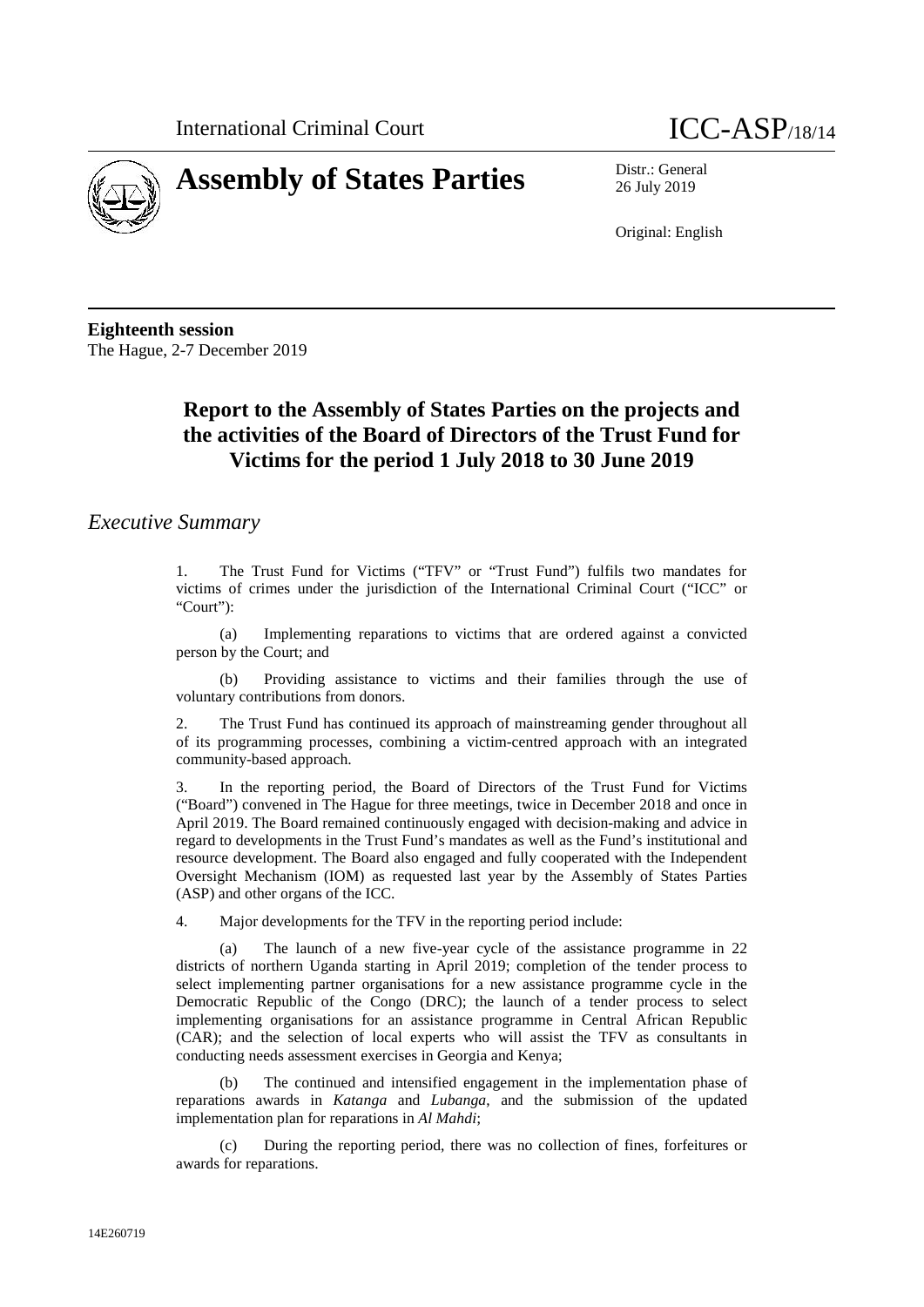



26 July 2019

Original: English

**Eighteenth session** The Hague, 2-7 December 2019

# **Report to the Assembly of States Parties on the projects and the activities of the Board of Directors of the Trust Fund for Victims for the period 1 July 2018 to 30 June 2019**

## *Executive Summary*

1. The Trust Fund for Victims ("TFV" or "Trust Fund") fulfils two mandates for victims of crimes under the jurisdiction of the International Criminal Court ("ICC" or "Court"):

(a) Implementing reparations to victims that are ordered against a convicted person by the Court; and

(b) Providing assistance to victims and their families through the use of voluntary contributions from donors.

2. The Trust Fund has continued its approach of mainstreaming gender throughout all of its programming processes, combining a victim-centred approach with an integrated community-based approach.

3. In the reporting period, the Board of Directors of the Trust Fund for Victims ("Board") convened in The Hague for three meetings, twice in December 2018 and once in April 2019. The Board remained continuously engaged with decision-making and advice in regard to developments in the Trust Fund's mandates as well as the Fund's institutional and resource development. The Board also engaged and fully cooperated with the Independent Oversight Mechanism (IOM) as requested last year by the Assembly of States Parties (ASP) and other organs of the ICC.

4. Major developments for the TFV in the reporting period include:

(a) The launch of a new five-year cycle of the assistance programme in 22 districts of northern Uganda starting in April 2019; completion of the tender process to select implementing partner organisations for a new assistance programme cycle in the Democratic Republic of the Congo (DRC); the launch of a tender process to select implementing organisations for an assistance programme in Central African Republic (CAR); and the selection of local experts who will assist the TFV as consultants in conducting needs assessment exercises in Georgia and Kenya;

(b) The continued and intensified engagement in the implementation phase of reparations awards in *Katanga* and *Lubanga*, and the submission of the updated implementation plan for reparations in *Al Mahdi*;

(c) During the reporting period, there was no collection of fines, forfeitures or awards for reparations.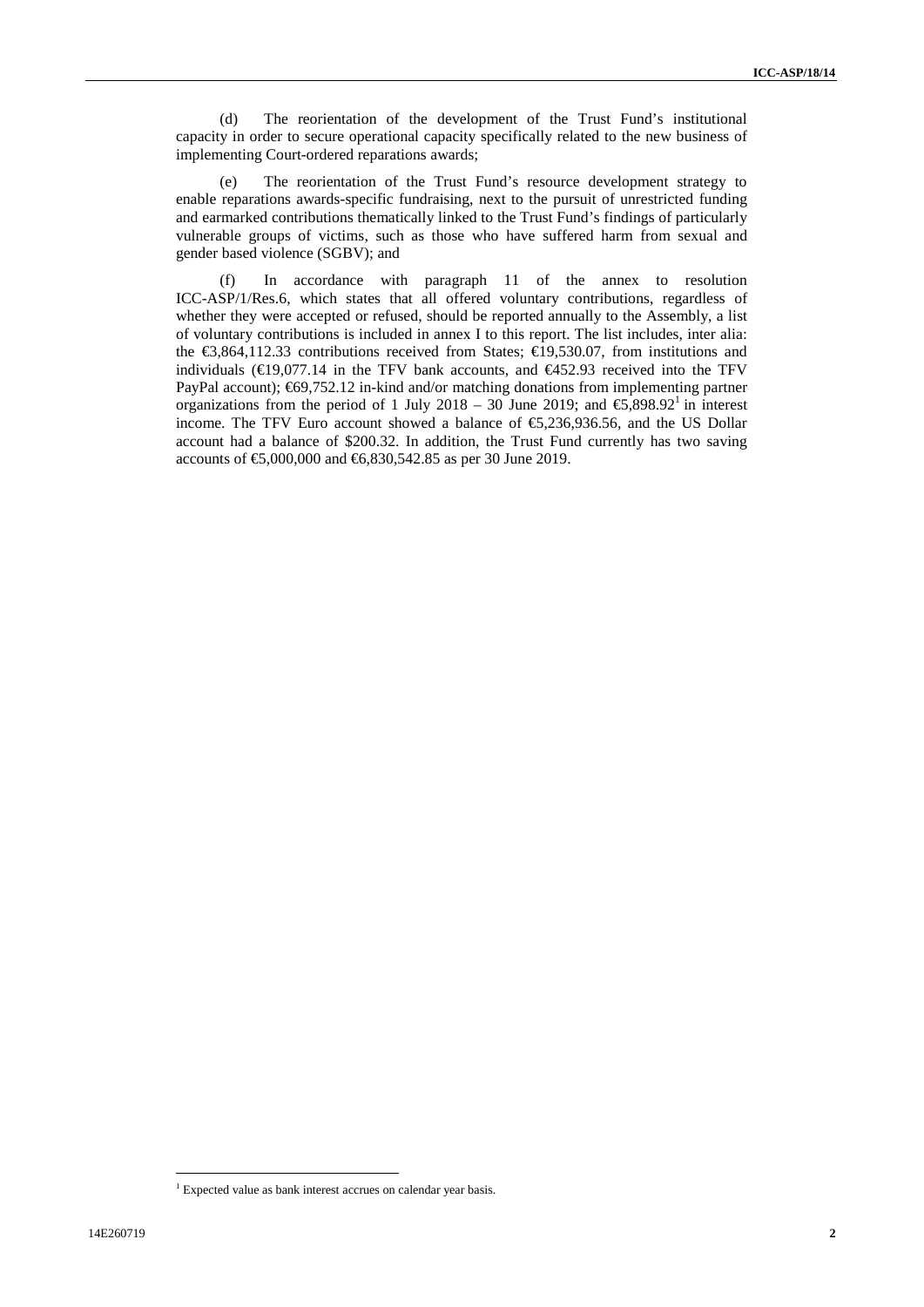(d) The reorientation of the development of the Trust Fund's institutional capacity in order to secure operational capacity specifically related to the new business of implementing Court-ordered reparations awards;

(e) The reorientation of the Trust Fund's resource development strategy to enable reparations awards-specific fundraising, next to the pursuit of unrestricted funding and earmarked contributions thematically linked to the Trust Fund's findings of particularly vulnerable groups of victims, such as those who have suffered harm from sexual and gender based violence (SGBV); and

(f) In accordance with paragraph 11 of the annex to resolution ICC-ASP/1/Res.6, which states that all offered voluntary contributions, regardless of whether they were accepted or refused, should be reported annually to the Assembly, a list of voluntary contributions is included in annex I to this report. The list includes, inter alia: the  $\text{ } \infty,864,112.33$  contributions received from States;  $\text{ } \infty,9530.07$ , from institutions and individuals ( $\in$ 19,077.14 in the TFV bank accounts, and  $\in$ 452.93 received into the TFV PayPal account); €69,752.12 in-kind and/or matching donations from implementing partner organizations from the period of 1 July 2018 – 30 June 2019; and  $\epsilon$ , 898.92<sup>1</sup> in interest income. The TFV Euro account showed a balance of €5,236,936.56, and the US Dollar account had a balance of \$200.32. In addition, the Trust Fund currently has two saving accounts of €5,000,000 and €6,830,542.85 as per 30 June 2019.

<sup>&</sup>lt;sup>1</sup> Expected value as bank interest accrues on calendar year basis.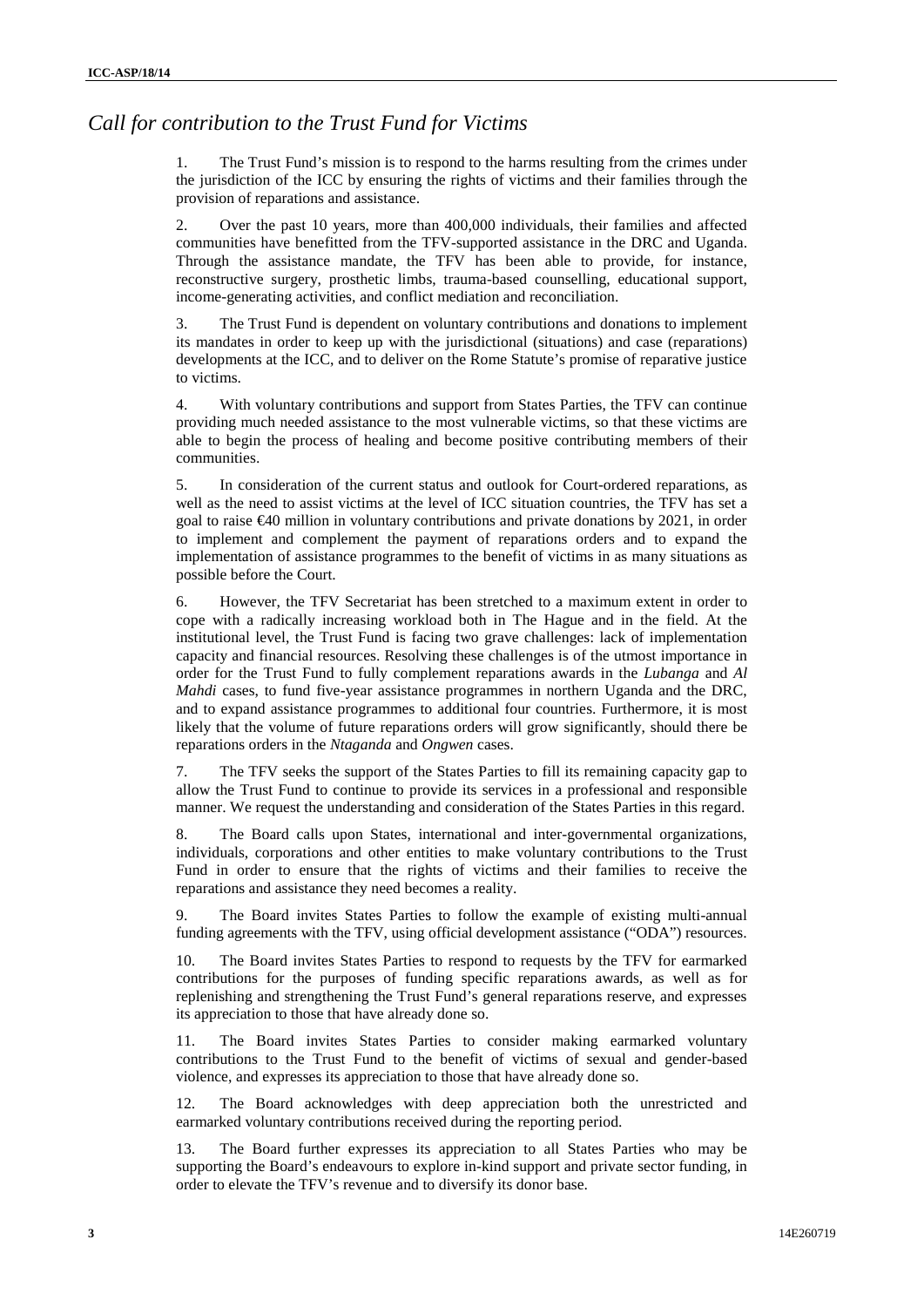## *Call for contribution to the Trust Fund for Victims*

The Trust Fund's mission is to respond to the harms resulting from the crimes under the jurisdiction of the ICC by ensuring the rights of victims and their families through the provision of reparations and assistance.

2. Over the past 10 years, more than 400,000 individuals, their families and affected communities have benefitted from the TFV-supported assistance in the DRC and Uganda. Through the assistance mandate, the TFV has been able to provide, for instance, reconstructive surgery, prosthetic limbs, trauma-based counselling, educational support, income-generating activities, and conflict mediation and reconciliation.

3. The Trust Fund is dependent on voluntary contributions and donations to implement its mandates in order to keep up with the jurisdictional (situations) and case (reparations) developments at the ICC, and to deliver on the Rome Statute's promise of reparative justice to victims.

4. With voluntary contributions and support from States Parties, the TFV can continue providing much needed assistance to the most vulnerable victims, so that these victims are able to begin the process of healing and become positive contributing members of their communities.

5. In consideration of the current status and outlook for Court-ordered reparations, as well as the need to assist victims at the level of ICC situation countries, the TFV has set a goal to raise  $\epsilon$ 40 million in voluntary contributions and private donations by 2021, in order to implement and complement the payment of reparations orders and to expand the implementation of assistance programmes to the benefit of victims in as many situations as possible before the Court.

6. However, the TFV Secretariat has been stretched to a maximum extent in order to cope with a radically increasing workload both in The Hague and in the field. At the institutional level, the Trust Fund is facing two grave challenges: lack of implementation capacity and financial resources. Resolving these challenges is of the utmost importance in order for the Trust Fund to fully complement reparations awards in the *Lubanga* and *Al Mahdi* cases, to fund five-year assistance programmes in northern Uganda and the DRC, and to expand assistance programmes to additional four countries. Furthermore, it is most likely that the volume of future reparations orders will grow significantly, should there be reparations orders in the *Ntaganda* and *Ongwen* cases.

7. The TFV seeks the support of the States Parties to fill its remaining capacity gap to allow the Trust Fund to continue to provide its services in a professional and responsible manner. We request the understanding and consideration of the States Parties in this regard.

8. The Board calls upon States, international and inter-governmental organizations, individuals, corporations and other entities to make voluntary contributions to the Trust Fund in order to ensure that the rights of victims and their families to receive the reparations and assistance they need becomes a reality.

9. The Board invites States Parties to follow the example of existing multi-annual funding agreements with the TFV, using official development assistance ("ODA") resources.

10. The Board invites States Parties to respond to requests by the TFV for earmarked contributions for the purposes of funding specific reparations awards, as well as for replenishing and strengthening the Trust Fund's general reparations reserve, and expresses its appreciation to those that have already done so.

11. The Board invites States Parties to consider making earmarked voluntary contributions to the Trust Fund to the benefit of victims of sexual and gender-based violence, and expresses its appreciation to those that have already done so.

12. The Board acknowledges with deep appreciation both the unrestricted and earmarked voluntary contributions received during the reporting period.

13. The Board further expresses its appreciation to all States Parties who may be supporting the Board's endeavours to explore in-kind support and private sector funding, in order to elevate the TFV's revenue and to diversify its donor base.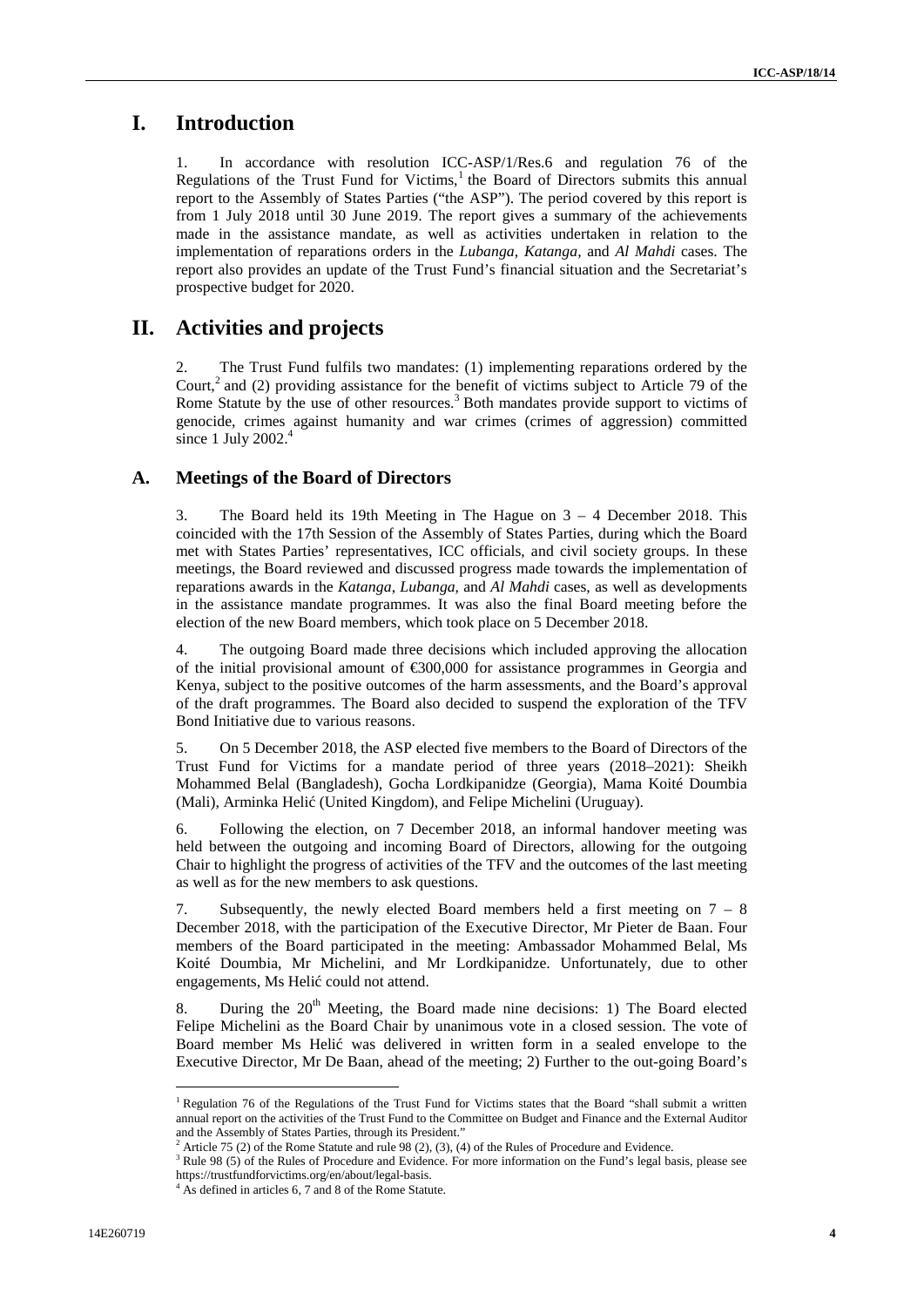## **I. Introduction**

In accordance with resolution ICC-ASP/1/Res.6 and regulation 76 of the Regulations of the Trust Fund for Victims, $<sup>1</sup>$  the Board of Directors submits this annual</sup> report to the Assembly of States Parties ("the ASP"). The period covered by this report is from 1 July 2018 until 30 June 2019. The report gives a summary of the achievements made in the assistance mandate, as well as activities undertaken in relation to the implementation of reparations orders in the *Lubanga, Katanga,* and *Al Mahdi* cases. The report also provides an update of the Trust Fund's financial situation and the Secretariat's prospective budget for 2020.

## **II. Activities and projects**

2. The Trust Fund fulfils two mandates: (1) implementing reparations ordered by the Court, $^2$  and (2) providing assistance for the benefit of victims subject to Article 79 of the Rome Statute by the use of other resources.<sup>3</sup> Both mandates provide support to victims of genocide, crimes against humanity and war crimes (crimes of aggression) committed since 1 July  $2002.<sup>4</sup>$ 

### **A. Meetings of the Board of Directors**

3. The Board held its 19th Meeting in The Hague on 3 – 4 December 2018. This coincided with the 17th Session of the Assembly of States Parties, during which the Board met with States Parties' representatives, ICC officials, and civil society groups. In these meetings, the Board reviewed and discussed progress made towards the implementation of reparations awards in the *Katanga*, *Lubanga*, and *Al Mahdi* cases, as well as developments in the assistance mandate programmes. It was also the final Board meeting before the election of the new Board members, which took place on 5 December 2018.

4. The outgoing Board made three decisions which included approving the allocation of the initial provisional amount of €300,000 for assistance programmes in Georgia and Kenya, subject to the positive outcomes of the harm assessments, and the Board's approval of the draft programmes. The Board also decided to suspend the exploration of the TFV Bond Initiative due to various reasons.

5. On 5 December 2018, the ASP elected five members to the Board of Directors of the Trust Fund for Victims for a mandate period of three years (2018–2021): Sheikh Mohammed Belal (Bangladesh), Gocha Lordkipanidze (Georgia), Mama Koité Doumbia (Mali), Arminka Heli (United Kingdom), and Felipe Michelini (Uruguay).

6. Following the election, on 7 December 2018, an informal handover meeting was held between the outgoing and incoming Board of Directors, allowing for the outgoing Chair to highlight the progress of activities of the TFV and the outcomes of the last meeting as well as for the new members to ask questions.

7. Subsequently, the newly elected Board members held a first meeting on  $7 - 8$ December 2018, with the participation of the Executive Director, Mr Pieter de Baan. Four members of the Board participated in the meeting: Ambassador Mohammed Belal, Ms Koité Doumbia, Mr Michelini, and Mr Lordkipanidze. Unfortunately, due to other engagements, Ms Heli could not attend.

8. During the  $20<sup>th</sup>$  Meeting, the Board made nine decisions: 1) The Board elected Felipe Michelini as the Board Chair by unanimous vote in a closed session. The vote of Board member Ms Heli was delivered in written form in a sealed envelope to the Executive Director, Mr De Baan, ahead of the meeting; 2) Further to the out-going Board's

<sup>&</sup>lt;sup>1</sup> Regulation 76 of the Regulations of the Trust Fund for Victims states that the Board "shall submit a written annual report on the activities of the Trust Fund to the Committee on Budget and Finance and the External Auditor and the Assembly of States Parties, through its President.'

 $2$  Article 75 (2) of the Rome Statute and rule 98 (2), (3), (4) of the Rules of Procedure and Evidence.

<sup>&</sup>lt;sup>3</sup> Rule 98 (5) of the Rules of Procedure and Evidence. For more information on the Fund's legal basis, please see https://trustfundforvictims.org/en/about/legal-basis. <sup>4</sup> As defined in articles 6, 7 and 8 of the Rome Statute.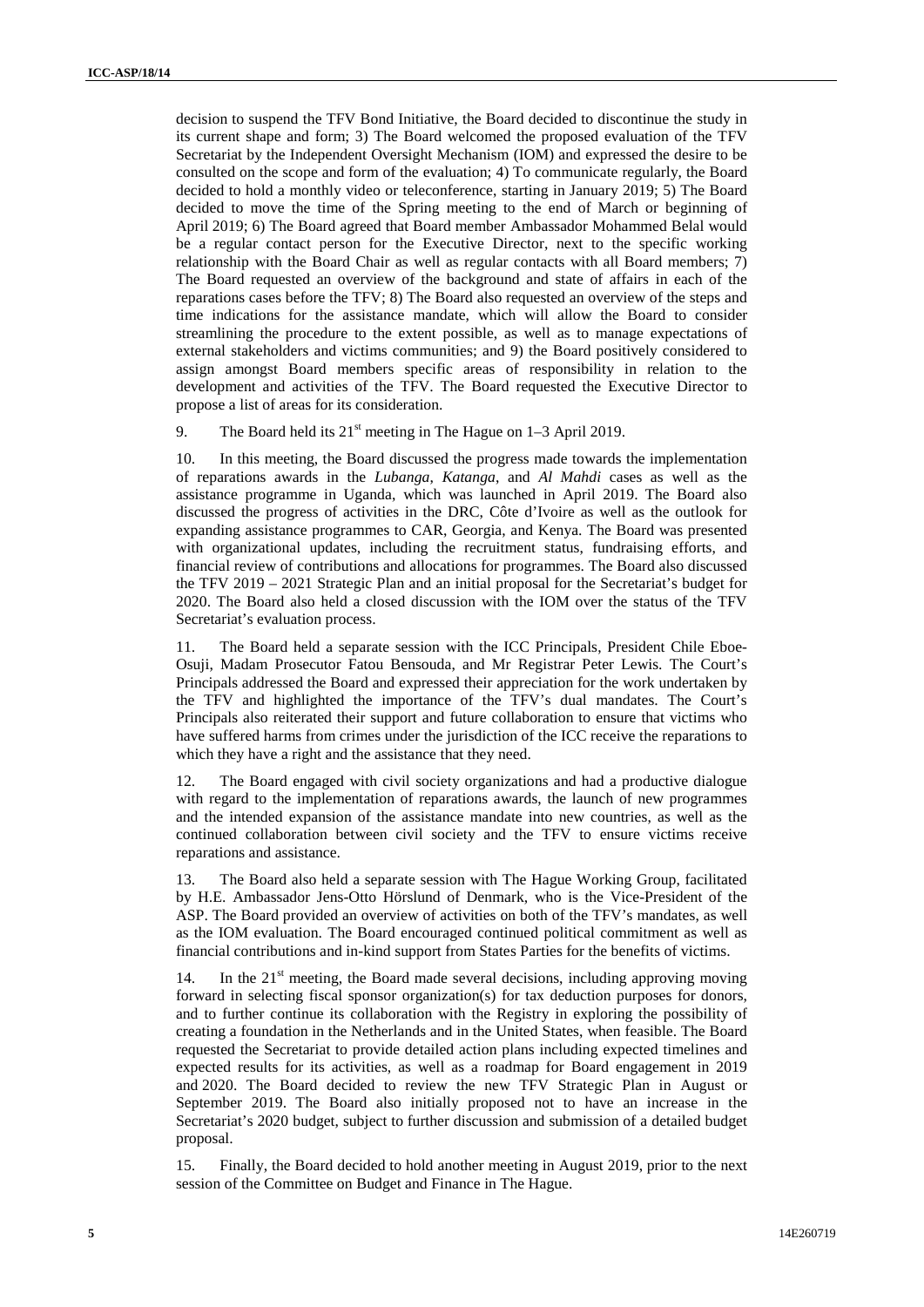decision to suspend the TFV Bond Initiative, the Board decided to discontinue the study in its current shape and form; 3) The Board welcomed the proposed evaluation of the TFV Secretariat by the Independent Oversight Mechanism (IOM) and expressed the desire to be consulted on the scope and form of the evaluation; 4) To communicate regularly, the Board decided to hold a monthly video or teleconference, starting in January 2019; 5) The Board decided to move the time of the Spring meeting to the end of March or beginning of April 2019; 6) The Board agreed that Board member Ambassador Mohammed Belal would be a regular contact person for the Executive Director, next to the specific working relationship with the Board Chair as well as regular contacts with all Board members;  $7)$ The Board requested an overview of the background and state of affairs in each of the reparations cases before the TFV; 8) The Board also requested an overview of the steps and time indications for the assistance mandate, which will allow the Board to consider streamlining the procedure to the extent possible, as well as to manage expectations of external stakeholders and victims communities; and 9) the Board positively considered to assign amongst Board members specific areas of responsibility in relation to the development and activities of the TFV. The Board requested the Executive Director to propose a list of areas for its consideration.

9. The Board held its  $21<sup>st</sup>$  meeting in The Hague on 1–3 April 2019.

10. In this meeting, the Board discussed the progress made towards the implementation of reparations awards in the *Lubanga*, *Katanga*, and *Al Mahdi* cases as well as the assistance programme in Uganda, which was launched in April 2019. The Board also discussed the progress of activities in the DRC, Côte d'Ivoire as well as the outlook for expanding assistance programmes to CAR, Georgia, and Kenya. The Board was presented with organizational updates, including the recruitment status, fundraising efforts, and financial review of contributions and allocations for programmes. The Board also discussed the TFV 2019 – 2021 Strategic Plan and an initial proposal for the Secretariat's budget for 2020. The Board also held a closed discussion with the IOM over the status of the TFV Secretariat's evaluation process.

11. The Board held a separate session with the ICC Principals, President Chile Eboe- Osuji, Madam Prosecutor Fatou Bensouda, and Mr Registrar Peter Lewis. The Court's Principals addressed the Board and expressed their appreciation for the work undertaken by the TFV and highlighted the importance of the TFV's dual mandates. The Court's Principals also reiterated their support and future collaboration to ensure that victims who have suffered harms from crimes under the jurisdiction of the ICC receive the reparations to which they have a right and the assistance that they need.

12. The Board engaged with civil society organizations and had a productive dialogue with regard to the implementation of reparations awards, the launch of new programmes and the intended expansion of the assistance mandate into new countries, as well as the continued collaboration between civil society and the TFV to ensure victims receive reparations and assistance.

13. The Board also held a separate session with The Hague Working Group, facilitated by H.E. Ambassador Jens-Otto Hörslund of Denmark, who is the Vice-President of the ASP. The Board provided an overview of activities on both of the TFV's mandates, as well as the IOM evaluation. The Board encouraged continued political commitment as well as financial contributions and in-kind support from States Parties for the benefits of victims.

14. In the  $21<sup>st</sup>$  meeting, the Board made several decisions, including approving moving forward in selecting fiscal sponsor organization(s) for tax deduction purposes for donors, and to further continue its collaboration with the Registry in exploring the possibility of creating a foundation in the Netherlands and in the United States, when feasible. The Board requested the Secretariat to provide detailed action plans including expected timelines and expected results for its activities, as well as a roadmap for Board engagement in 2019 and 2020. The Board decided to review the new TFV Strategic Plan in August or September 2019. The Board also initially proposed not to have an increase in the Secretariat's 2020 budget, subject to further discussion and submission of a detailed budget proposal.

15. Finally, the Board decided to hold another meeting in August 2019, prior to the next session of the Committee on Budget and Finance in The Hague.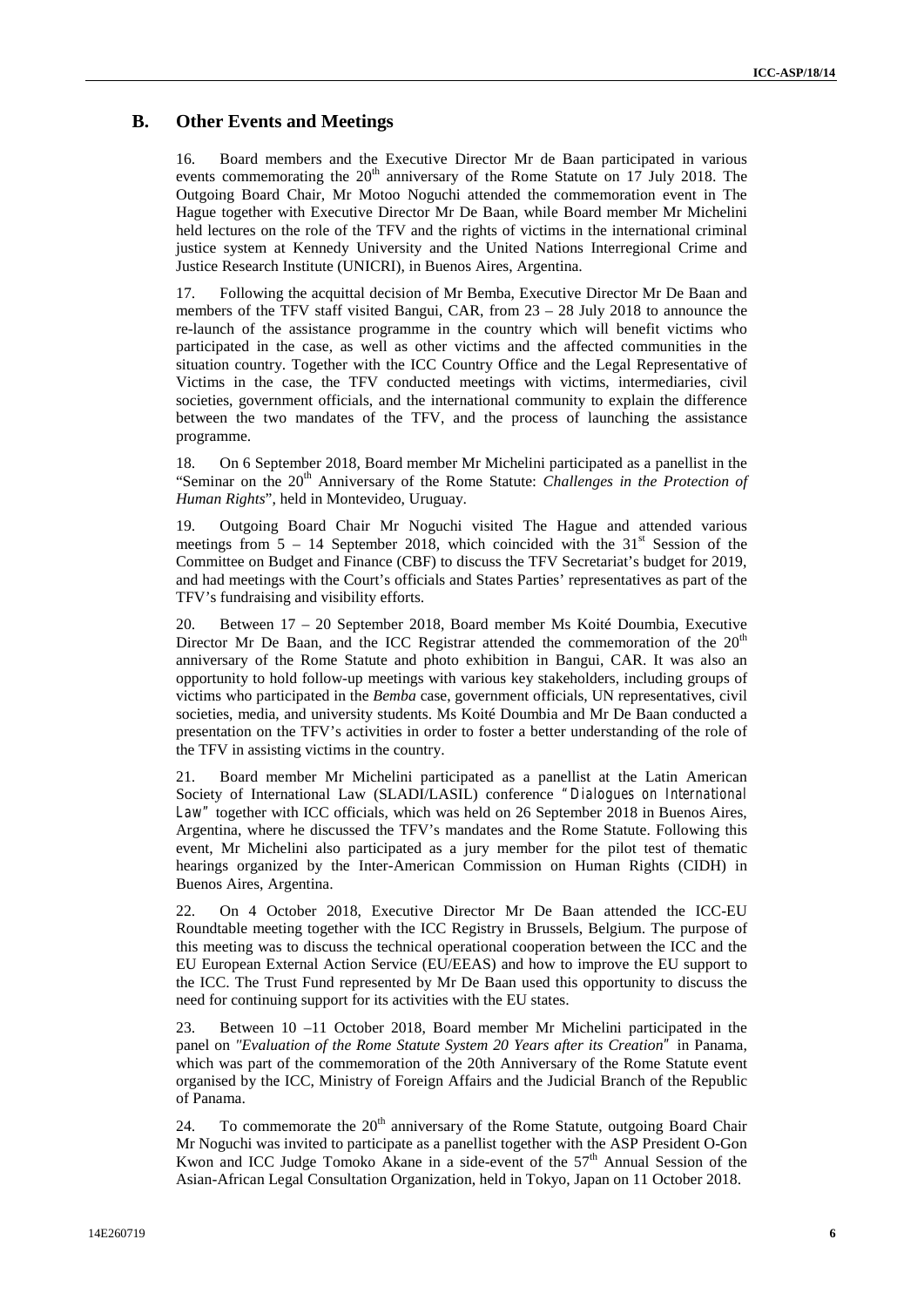## **B. Other Events and Meetings**

16. Board members and the Executive Director Mr de Baan participated in various events commemorating the  $20<sup>th</sup>$  anniversary of the Rome Statute on 17 July 2018. The Outgoing Board Chair, Mr Motoo Noguchi attended the commemoration event in The Hague together with Executive Director Mr De Baan, while Board member Mr Michelini held lectures on the role of the TFV and the rights of victims in the international criminal justice system at Kennedy University and the United Nations Interregional Crime and Justice Research Institute (UNICRI), in Buenos Aires, Argentina.

17. Following the acquittal decision of Mr Bemba, Executive Director Mr De Baan and members of the TFV staff visited Bangui, CAR, from 23 – 28 July 2018 to announce the re-launch of the assistance programme in the country which will benefit victims who participated in the case, as well as other victims and the affected communities in the situation country. Together with the ICC Country Office and the Legal Representative of Victims in the case, the TFV conducted meetings with victims, intermediaries, civil societies, government officials, and the international community to explain the difference between the two mandates of the TFV, and the process of launching the assistance programme.

18. On 6 September 2018, Board member Mr Michelini participated as a panellist in the "Seminar on the 20<sup>th</sup> Anniversary of the Rome Statute: *Challenges in the Protection of Human Rights*", held in Montevideo, Uruguay.

19. Outgoing Board Chair Mr Noguchi visited The Hague and attended various meetings from  $5 - 14$  September 2018, which coincided with the  $31<sup>st</sup>$  Session of the Committee on Budget and Finance (CBF) to discuss the TFV Secretariat's budget for 2019, and had meetings with the Court's officials and States Parties' representatives as part of the TFV's fundraising and visibility efforts.

20. Between 17 – 20 September 2018, Board member Ms Koité Doumbia, Executive Director Mr De Baan, and the ICC Registrar attended the commemoration of the 20<sup>th</sup> anniversary of the Rome Statute and photo exhibition in Bangui, CAR. It was also an opportunity to hold follow-up meetings with various key stakeholders, including groups of victims who participated in the *Bemba* case, government officials, UN representatives, civil societies, media, and university students. Ms Koité Doumbia and Mr De Baan conducted a presentation on the TFV's activities in order to foster a better understanding of the role of the TFV in assisting victims in the country.

21. Board member Mr Michelini participated as a panellist at the Latin American Society of International Law (SLADI/LASIL) conference *"Dialogues on International Law"* together with ICC officials, which was held on 26 September 2018 in Buenos Aires, Argentina, where he discussed the TFV's mandates and the Rome Statute. Following this event, Mr Michelini also participated as a jury member for the pilot test of thematic hearings organized by the Inter-American Commission on Human Rights (CIDH) in Buenos Aires, Argentina.

22. On 4 October 2018, Executive Director Mr De Baan attended the ICC-EU Roundtable meeting together with the ICC Registry in Brussels, Belgium. The purpose of this meeting was to discuss the technical operational cooperation between the ICC and the EU European External Action Service (EU/EEAS) and how to improve the EU support to the ICC. The Trust Fund represented by Mr De Baan used this opportunity to discuss the need for continuing support for its activities with the EU states.

23. Between 10 –11 October 2018, Board member Mr Michelini participated in the panel on *"Evaluation of the Rome Statute System 20 Years after its Creation"* in Panama, which was part of the commemoration of the 20th Anniversary of the Rome Statute event organised by the ICC, Ministry of Foreign Affairs and the Judicial Branch of the Republic of Panama.

24. To commemorate the  $20<sup>th</sup>$  anniversary of the Rome Statute, outgoing Board Chair Mr Noguchi was invited to participate as a panellist together with the ASP President O-Gon Kwon and ICC Judge Tomoko Akane in a side-event of the 57<sup>th</sup> Annual Session of the Asian-African Legal Consultation Organization, held in Tokyo, Japan on 11 October 2018.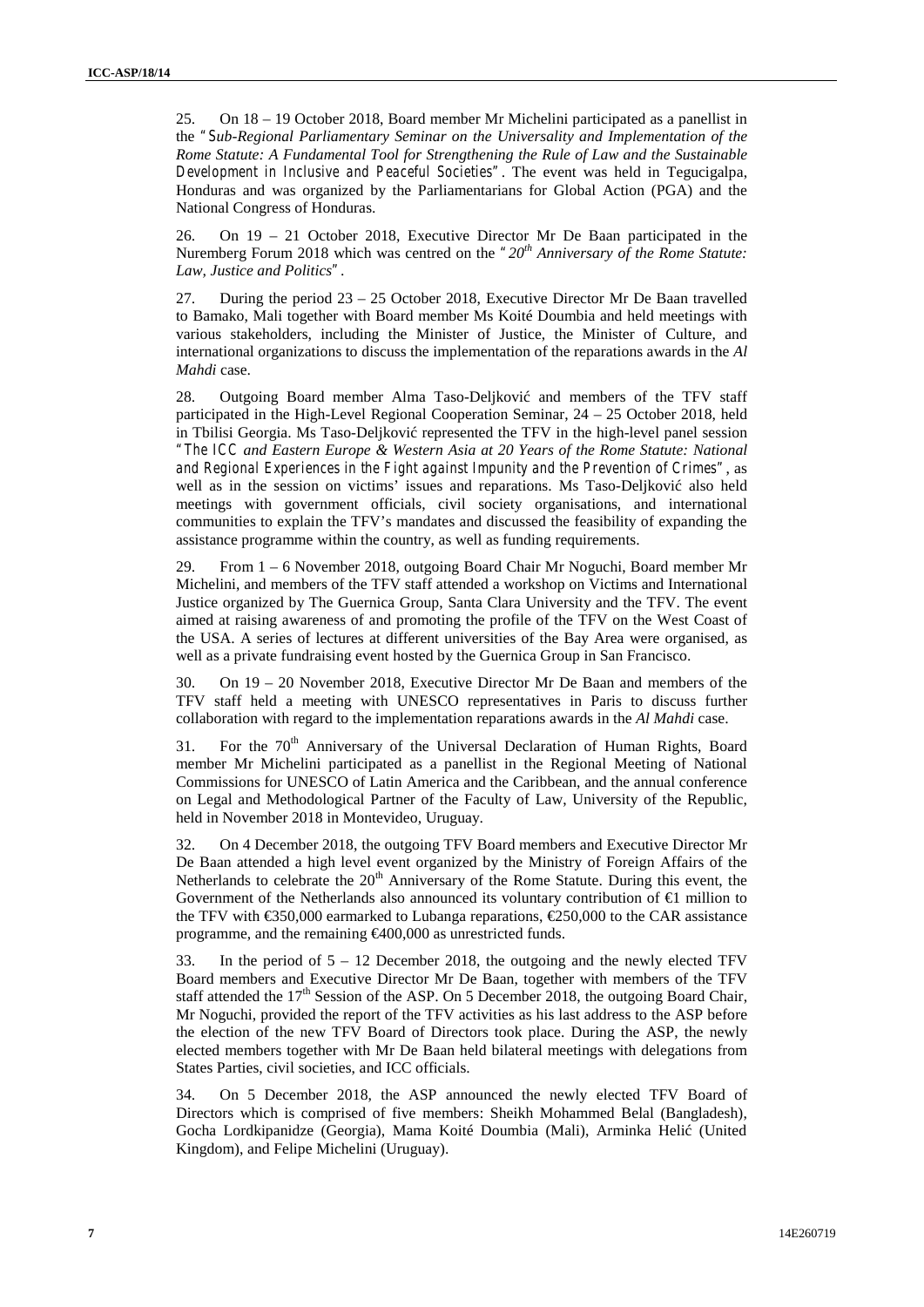25. On 18 – 19 October 2018, Board member Mr Michelini participated as a panellist in the *"Sub-Regional Parliamentary Seminar on the Universality and Implementation of the Rome Statute: A Fundamental Tool for Strengthening the Rule of Law and the Sustainable Development in Inclusive and Peaceful Societies"*. The event was held in Tegucigalpa, Honduras and was organized by the Parliamentarians for Global Action (PGA) and the National Congress of Honduras.

26. On 19 – 21 October 2018, Executive Director Mr De Baan participated in the Nuremberg Forum 2018 which was centred on the *"20th Anniversary of the Rome Statute: Law, Justice and Politics"*.

27. During the period 23 – 25 October 2018, Executive Director Mr De Baan travelled to Bamako, Mali together with Board member Ms Koité Doumbia and held meetings with various stakeholders, including the Minister of Justice, the Minister of Culture, and international organizations to discuss the implementation of the reparations awards in the *Al Mahdi* case.

28. Outgoing Board member Alma Taso-Deljković and members of the TFV staff participated in the High-Level Regional Cooperation Seminar, 24 – 25 October 2018, held in Tbilisi Georgia. Ms Taso-Deljkovi represented the TFV in the high-level panel session *"The ICC and Eastern Europe & Western Asia at 20 Years of the Rome Statute: National and Regional Experiences in the Fight against Impunity and the Prevention of Crimes"*, as well as in the session on victims' issues and reparations. Ms Taso-Deljković also held meetings with government officials, civil society organisations, and international communities to explain the TFV's mandates and discussed the feasibility of expanding the assistance programme within the country, as well as funding requirements.

29. From 1 – 6 November 2018, outgoing Board Chair Mr Noguchi, Board member Mr Michelini, and members of the TFV staff attended a workshop on Victims and International Justice organized by The Guernica Group, Santa Clara University and the TFV. The event aimed at raising awareness of and promoting the profile of the TFV on the West Coast of the USA. A series of lectures at different universities of the Bay Area were organised, as well as a private fundraising event hosted by the Guernica Group in San Francisco.

30. On 19 – 20 November 2018, Executive Director Mr De Baan and members of the TFV staff held a meeting with UNESCO representatives in Paris to discuss further collaboration with regard to the implementation reparations awards in the *Al Mahdi* case.

31. For the 70<sup>th</sup> Anniversary of the Universal Declaration of Human Rights, Board member Mr Michelini participated as a panellist in the Regional Meeting of National Commissions for UNESCO of Latin America and the Caribbean, and the annual conference on Legal and Methodological Partner of the Faculty of Law, University of the Republic, held in November 2018 in Montevideo, Uruguay.

32. On 4 December 2018, the outgoing TFV Board members and Executive Director Mr De Baan attended a high level event organized by the Ministry of Foreign Affairs of the Netherlands to celebrate the  $20<sup>th</sup>$  Anniversary of the Rome Statute. During this event, the Government of the Netherlands also announced its voluntary contribution of  $\bigoplus$  million to the TFV with €350,000 earmarked to Lubanga reparations, €250,000 to the CAR assistance programme, and the remaining €400,000 as unrestricted funds.

33. In the period of  $5 - 12$  December 2018, the outgoing and the newly elected TFV Board members and Executive Director Mr De Baan, together with members of the TFV staff attended the  $17<sup>th</sup>$  Session of the ASP. On 5 December 2018, the outgoing Board Chair, Mr Noguchi, provided the report of the TFV activities as his last address to the ASP before the election of the new TFV Board of Directors took place. During the ASP, the newly elected members together with Mr De Baan held bilateral meetings with delegations from States Parties, civil societies, and ICC officials.

34. On 5 December 2018, the ASP announced the newly elected TFV Board of Directors which is comprised of five members: Sheikh Mohammed Belal (Bangladesh), Gocha Lordkipanidze (Georgia), Mama Koité Doumbia (Mali), Arminka Heli (United Kingdom), and Felipe Michelini (Uruguay).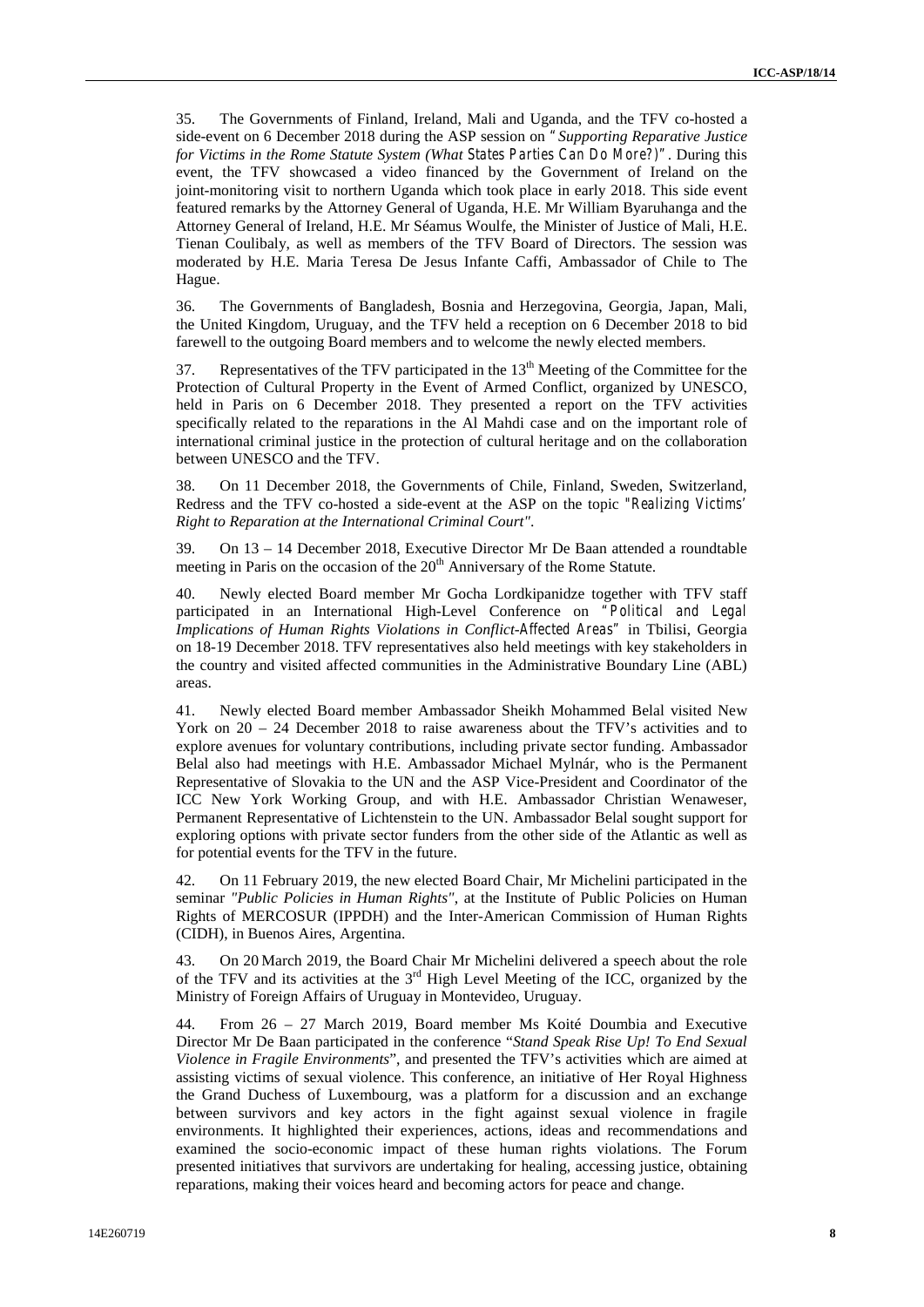35. The Governments of Finland, Ireland, Mali and Uganda, and the TFV co-hosted a side-event on 6 December 2018 during the ASP session on *"Supporting Reparative Justice for Victims in the Rome Statute System (What States Parties Can Do More?)"*. During this event, the TFV showcased a video financed by the Government of Ireland on the joint-monitoring visit to northern Uganda which took place in early 2018. This side event featured remarks by the Attorney General of Uganda, H.E. Mr William Byaruhanga and the Attorney General of Ireland, H.E. Mr Séamus Woulfe, the Minister of Justice of Mali, H.E. Tienan Coulibaly, as well as members of the TFV Board of Directors. The session was moderated by H.E. Maria Teresa De Jesus Infante Caffi, Ambassador of Chile to The Hague.

36. The Governments of Bangladesh, Bosnia and Herzegovina, Georgia, Japan, Mali, the United Kingdom, Uruguay, and the TFV held a reception on 6 December 2018 to bid farewell to the outgoing Board members and to welcome the newly elected members.

37. Representatives of the TFV participated in the  $13<sup>th</sup>$  Meeting of the Committee for the Protection of Cultural Property in the Event of Armed Conflict, organized by UNESCO, held in Paris on 6 December 2018. They presented a report on the TFV activities specifically related to the reparations in the Al Mahdi case and on the important role of international criminal justice in the protection of cultural heritage and on the collaboration between UNESCO and the TFV.

38. On 11 December 2018, the Governments of Chile, Finland, Sweden, Switzerland, Redress and the TFV co-hosted a side-event at the ASP on the topic *"Realizing Victims' Right to Reparation at the International Criminal Court"*.

39. On 13 – 14 December 2018, Executive Director Mr De Baan attended a roundtable meeting in Paris on the occasion of the 20<sup>th</sup> Anniversary of the Rome Statute.

40. Newly elected Board member Mr Gocha Lordkipanidze together with TFV staff participated in an International High-Level Conference on *"Political and Legal Implications of Human Rights Violations in Conflict-Affected Areas"* in Tbilisi, Georgia on 18-19 December 2018. TFV representatives also held meetings with key stakeholders in the country and visited affected communities in the Administrative Boundary Line (ABL) areas.

41. Newly elected Board member Ambassador Sheikh Mohammed Belal visited New York on 20 – 24 December 2018 to raise awareness about the TFV's activities and to explore avenues for voluntary contributions, including private sector funding. Ambassador Belal also had meetings with H.E. Ambassador Michael Mylnár, who is the Permanent Representative of Slovakia to the UN and the ASP Vice-President and Coordinator of the ICC New York Working Group, and with H.E. Ambassador Christian Wenaweser, Permanent Representative of Lichtenstein to the UN. Ambassador Belal sought support for exploring options with private sector funders from the other side of the Atlantic as well as for potential events for the TFV in the future.

42. On 11 February 2019, the new elected Board Chair, Mr Michelini participated in the seminar *"Public Policies in Human Rights"*, at the Institute of Public Policies on Human Rights of MERCOSUR (IPPDH) and the Inter-American Commission of Human Rights (CIDH), in Buenos Aires, Argentina.

43. On 20 March 2019, the Board Chair Mr Michelini delivered a speech about the role of the TFV and its activities at the  $3<sup>rd</sup>$  High Level Meeting of the ICC, organized by the Ministry of Foreign Affairs of Uruguay in Montevideo, Uruguay.

44. From 26 – 27 March 2019, Board member Ms Koité Doumbia and Executive Director Mr De Baan participated in the conference "*Stand Speak Rise Up! To End Sexual Violence in Fragile Environments*", and presented the TFV's activities which are aimed at assisting victims of sexual violence. This conference, an initiative of Her Royal Highness the Grand Duchess of Luxembourg, was a platform for a discussion and an exchange between survivors and key actors in the fight against sexual violence in fragile environments. It highlighted their experiences, actions, ideas and recommendations and examined the socio-economic impact of these human rights violations. The Forum presented initiatives that survivors are undertaking for healing, accessing justice, obtaining reparations, making their voices heard and becoming actors for peace and change.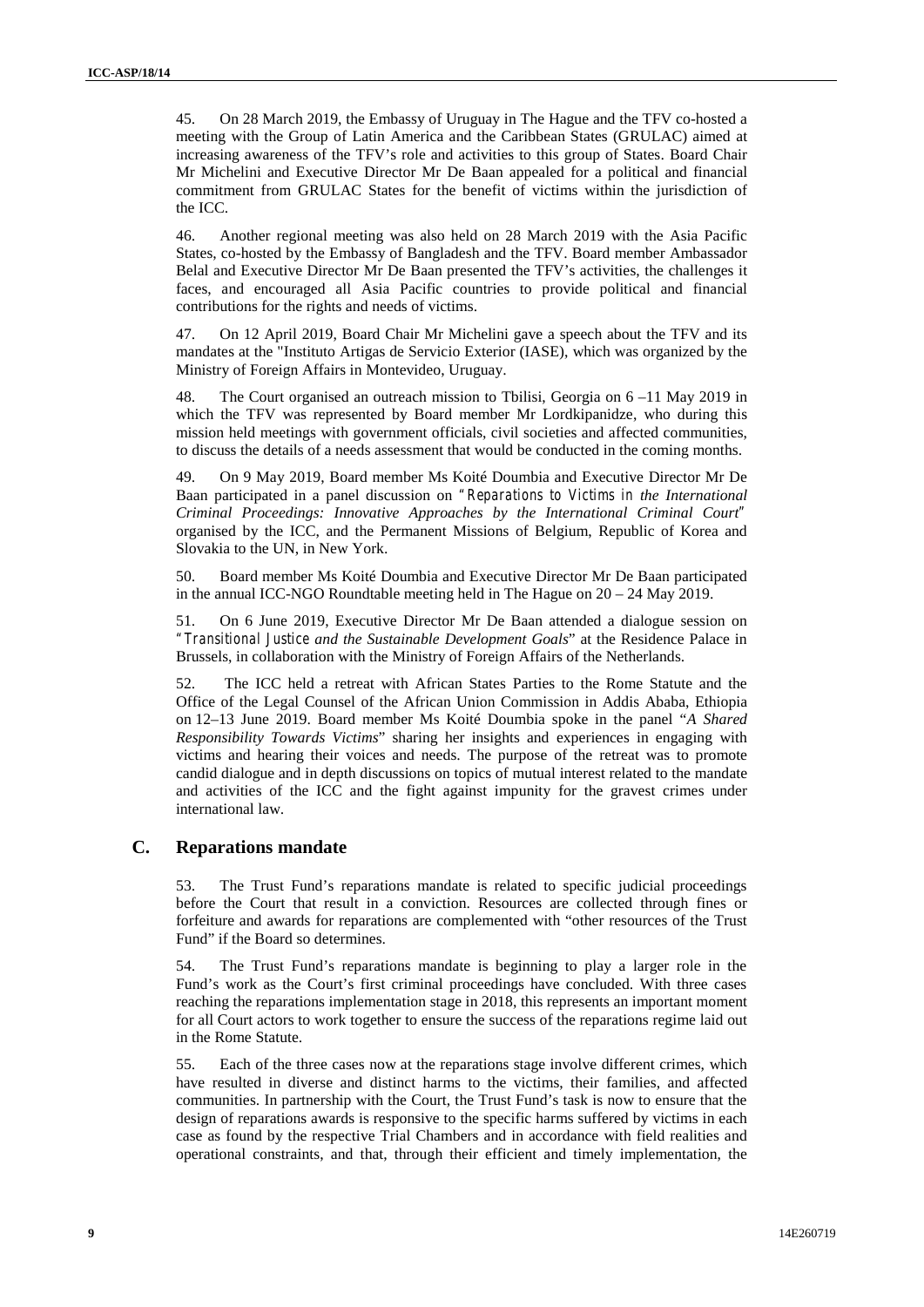45. On 28 March 2019, the Embassy of Uruguay in The Hague and the TFV co-hosted a meeting with the Group of Latin America and the Caribbean States (GRULAC) aimed at increasing awareness of the TFV's role and activities to this group of States. Board Chair Mr Michelini and Executive Director Mr De Baan appealed for a political and financial commitment from GRULAC States for the benefit of victims within the jurisdiction of the ICC.

46. Another regional meeting was also held on 28 March 2019 with the Asia Pacific States, co-hosted by the Embassy of Bangladesh and the TFV. Board member Ambassador Belal and Executive Director Mr De Baan presented the TFV's activities, the challenges it faces, and encouraged all Asia Pacific countries to provide political and financial contributions for the rights and needs of victims.

47. On 12 April 2019, Board Chair Mr Michelini gave a speech about the TFV and its mandates at the "Instituto Artigas de Servicio Exterior (IASE), which was organized by the Ministry of Foreign Affairs in Montevideo, Uruguay.

48. The Court organised an outreach mission to Tbilisi, Georgia on 6 –11 May 2019 in which the TFV was represented by Board member Mr Lordkipanidze, who during this mission held meetings with government officials, civil societies and affected communities, to discuss the details of a needs assessment that would be conducted in the coming months.

49. On 9 May 2019, Board member Ms Koité Doumbia and Executive Director Mr De Baan participated in a panel discussion on *"Reparations to Victims in the International Criminal Proceedings: Innovative Approaches by the International Criminal Court"* organised by the ICC, and the Permanent Missions of Belgium, Republic of Korea and Slovakia to the UN, in New York.

50. Board member Ms Koité Doumbia and Executive Director Mr De Baan participated in the annual ICC-NGO Roundtable meeting held in The Hague on 20 – 24 May 2019.

51. On 6 June 2019, Executive Director Mr De Baan attended a dialogue session on *"Transitional Justice and the Sustainable Development Goals*" at the Residence Palace in Brussels, in collaboration with the Ministry of Foreign Affairs of the Netherlands.

52. The ICC held a retreat with African States Parties to the Rome Statute and the Office of the Legal Counsel of the African Union Commission in Addis Ababa, Ethiopia on 12–13 June 2019. Board member Ms Koité Doumbia spoke in the panel "*A Shared Responsibility Towards Victims*" sharing her insights and experiences in engaging with victims and hearing their voices and needs. The purpose of the retreat was to promote candid dialogue and in depth discussions on topics of mutual interest related to the mandate and activities of the ICC and the fight against impunity for the gravest crimes under international law.

## **C. Reparations mandate**

53. The Trust Fund's reparations mandate is related to specific judicial proceedings before the Court that result in a conviction. Resources are collected through fines or forfeiture and awards for reparations are complemented with "other resources of the Trust Fund" if the Board so determines.

54. The Trust Fund's reparations mandate is beginning to play a larger role in the Fund's work as the Court's first criminal proceedings have concluded. With three cases reaching the reparations implementation stage in 2018, this represents an important moment for all Court actors to work together to ensure the success of the reparations regime laid out in the Rome Statute.

55. Each of the three cases now at the reparations stage involve different crimes, which have resulted in diverse and distinct harms to the victims, their families, and affected communities. In partnership with the Court, the Trust Fund's task is now to ensure that the design of reparations awards is responsive to the specific harms suffered by victims in each case as found by the respective Trial Chambers and in accordance with field realities and operational constraints, and that, through their efficient and timely implementation, the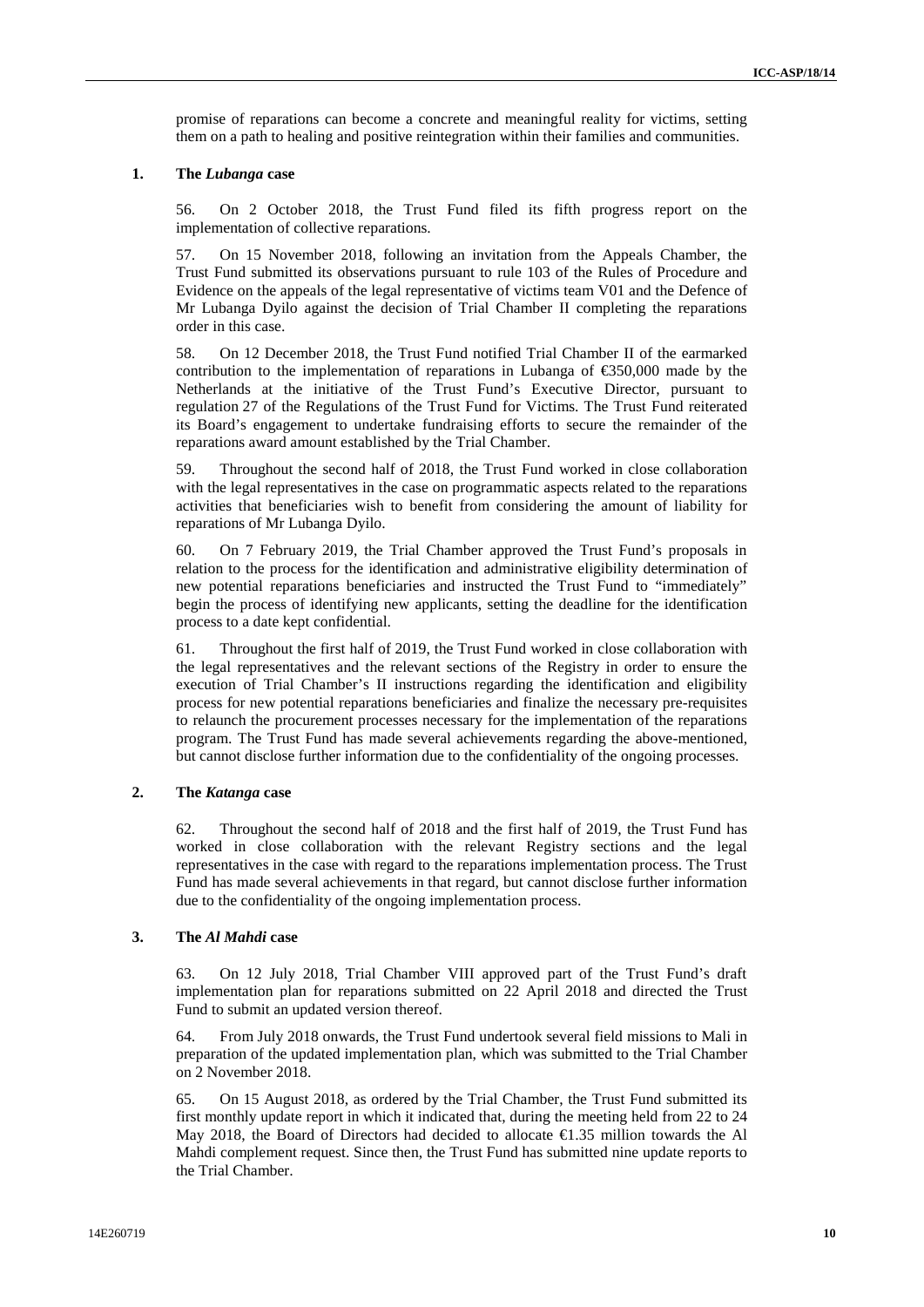promise of reparations can become a concrete and meaningful reality for victims, setting them on a path to healing and positive reintegration within their families and communities.

#### **1. The** *Lubanga* **case**

56. On 2 October 2018, the Trust Fund filed its fifth progress report on the implementation of collective reparations.

57. On 15 November 2018, following an invitation from the Appeals Chamber, the Trust Fund submitted its observations pursuant to rule 103 of the Rules of Procedure and Evidence on the appeals of the legal representative of victims team V01 and the Defence of Mr Lubanga Dyilo against the decision of Trial Chamber II completing the reparations order in this case.

58. On 12 December 2018, the Trust Fund notified Trial Chamber II of the earmarked contribution to the implementation of reparations in Lubanga of  $\epsilon$ 550,000 made by the Netherlands at the initiative of the Trust Fund's Executive Director, pursuant to regulation 27 of the Regulations of the Trust Fund for Victims. The Trust Fund reiterated its Board's engagement to undertake fundraising efforts to secure the remainder of the reparations award amount established by the Trial Chamber.

59. Throughout the second half of 2018, the Trust Fund worked in close collaboration with the legal representatives in the case on programmatic aspects related to the reparations activities that beneficiaries wish to benefit from considering the amount of liability for reparations of Mr Lubanga Dyilo.

60. On 7 February 2019, the Trial Chamber approved the Trust Fund's proposals in relation to the process for the identification and administrative eligibility determination of new potential reparations beneficiaries and instructed the Trust Fund to "immediately" begin the process of identifying new applicants, setting the deadline for the identification process to a date kept confidential.

61. Throughout the first half of 2019, the Trust Fund worked in close collaboration with the legal representatives and the relevant sections of the Registry in order to ensure the execution of Trial Chamber's II instructions regarding the identification and eligibility process for new potential reparations beneficiaries and finalize the necessary pre-requisites to relaunch the procurement processes necessary for the implementation of the reparations program. The Trust Fund has made several achievements regarding the above-mentioned, but cannot disclose further information due to the confidentiality of the ongoing processes.

### **2. The** *Katanga* **case**

62. Throughout the second half of 2018 and the first half of 2019, the Trust Fund has worked in close collaboration with the relevant Registry sections and the legal representatives in the case with regard to the reparations implementation process. The Trust Fund has made several achievements in that regard, but cannot disclose further information due to the confidentiality of the ongoing implementation process.

#### **3. The** *Al Mahdi* **case**

63. On 12 July 2018, Trial Chamber VIII approved part of the Trust Fund's draft implementation plan for reparations submitted on 22 April 2018 and directed the Trust Fund to submit an updated version thereof.

64. From July 2018 onwards, the Trust Fund undertook several field missions to Mali in preparation of the updated implementation plan, which was submitted to the Trial Chamber on 2 November 2018.

65. On 15 August 2018, as ordered by the Trial Chamber, the Trust Fund submitted its first monthly update report in which it indicated that, during the meeting held from 22 to 24 May 2018, the Board of Directors had decided to allocate €1.35 million towards the Al Mahdi complement request. Since then, the Trust Fund has submitted nine update reports to the Trial Chamber.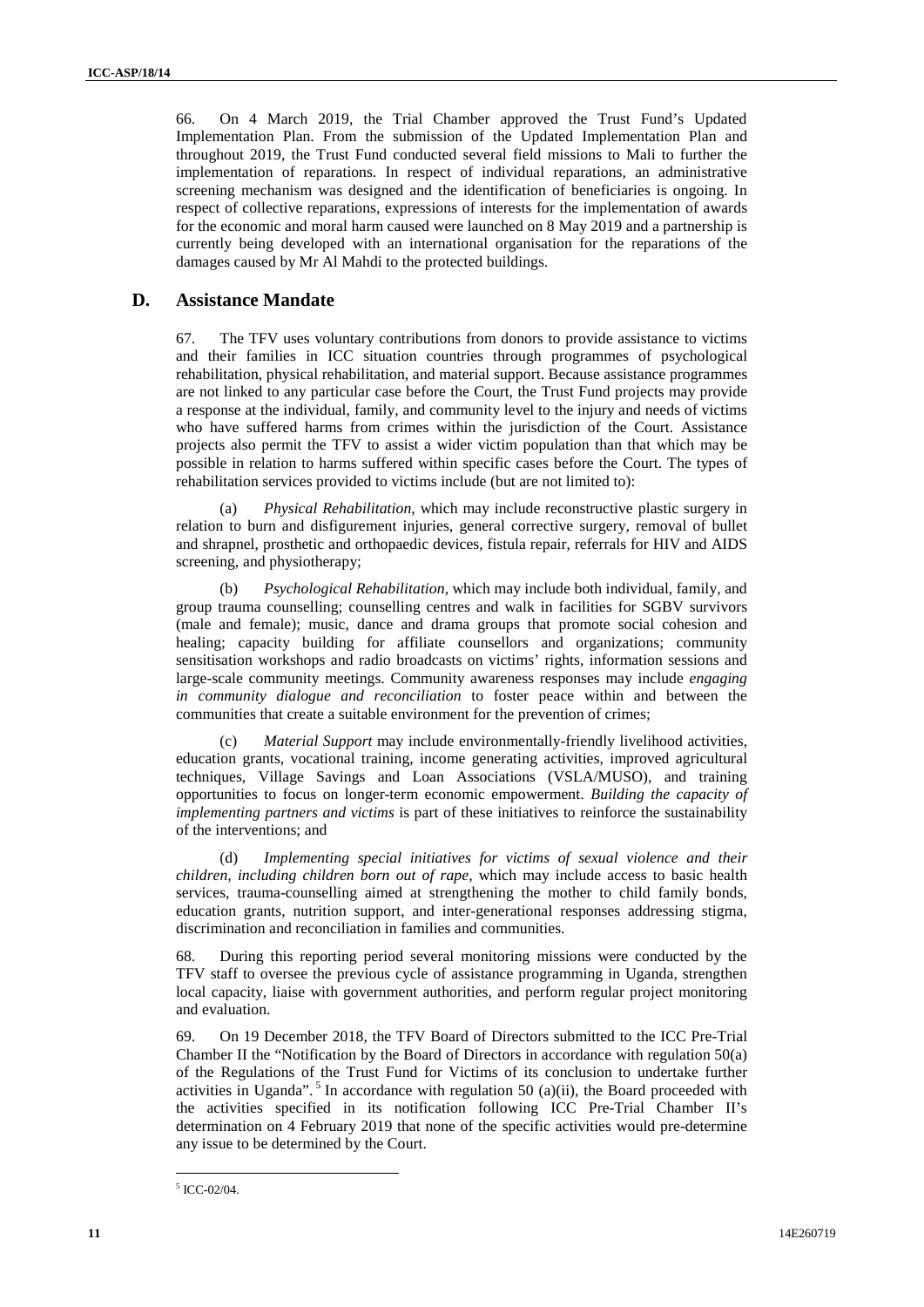66. On 4 March 2019, the Trial Chamber approved the Trust Fund's Updated Implementation Plan. From the submission of the Updated Implementation Plan and throughout 2019, the Trust Fund conducted several field missions to Mali to further the implementation of reparations. In respect of individual reparations, an administrative screening mechanism was designed and the identification of beneficiaries is ongoing. In respect of collective reparations, expressions of interests for the implementation of awards for the economic and moral harm caused were launched on 8 May 2019 and a partnership is currently being developed with an international organisation for the reparations of the damages caused by Mr Al Mahdi to the protected buildings.

### **D. Assistance Mandate**

67. The TFV uses voluntary contributions from donors to provide assistance to victims and their families in ICC situation countries through programmes of psychological rehabilitation, physical rehabilitation, and material support. Because assistance programmes are not linked to any particular case before the Court, the Trust Fund projects may provide a response at the individual, family, and community level to the injury and needs of victims who have suffered harms from crimes within the jurisdiction of the Court. Assistance projects also permit the TFV to assist a wider victim population than that which may be possible in relation to harms suffered within specific cases before the Court. The types of rehabilitation services provided to victims include (but are not limited to):

(a) *Physical Rehabilitation*, which may include reconstructive plastic surgery in relation to burn and disfigurement injuries, general corrective surgery, removal of bullet and shrapnel, prosthetic and orthopaedic devices, fistula repair, referrals for HIV and AIDS screening, and physiotherapy;

(b) *Psychological Rehabilitation*, which may include both individual, family, and group trauma counselling; counselling centres and walk in facilities for SGBV survivors (male and female); music, dance and drama groups that promote social cohesion and healing; capacity building for affiliate counsellors and organizations; community sensitisation workshops and radio broadcasts on victims' rights, information sessions and large-scale community meetings. Community awareness responses may include *engaging in community dialogue and reconciliation* to foster peace within and between the communities that create a suitable environment for the prevention of crimes;

(c) *Material Support* may include environmentally-friendly livelihood activities, education grants, vocational training, income generating activities, improved agricultural techniques, Village Savings and Loan Associations (VSLA/MUSO), and training opportunities to focus on longer-term economic empowerment. *Building the capacity of implementing partners and victims* is part of these initiatives to reinforce the sustainability of the interventions; and

(d) *Implementing special initiatives for victims of sexual violence and their children, including children born out of rape*, which may include access to basic health services, trauma-counselling aimed at strengthening the mother to child family bonds, education grants, nutrition support, and inter-generational responses addressing stigma, discrimination and reconciliation in families and communities.

68. During this reporting period several monitoring missions were conducted by the TFV staff to oversee the previous cycle of assistance programming in Uganda, strengthen local capacity, liaise with government authorities, and perform regular project monitoring and evaluation.

69. On 19 December 2018, the TFV Board of Directors submitted to the ICC Pre-Trial Chamber II the "Notification by the Board of Directors in accordance with regulation 50(a) of the Regulations of the Trust Fund for Victims of its conclusion to undertake further activities in Uganda".<sup>5</sup> In accordance with regulation 50 (a)(ii), the Board proceeded with the activities specified in its notification following ICC Pre-Trial Chamber II's determination on 4 February 2019 that none of the specific activities would pre-determine any issue to be determined by the Court.

 $5$  ICC-02/04.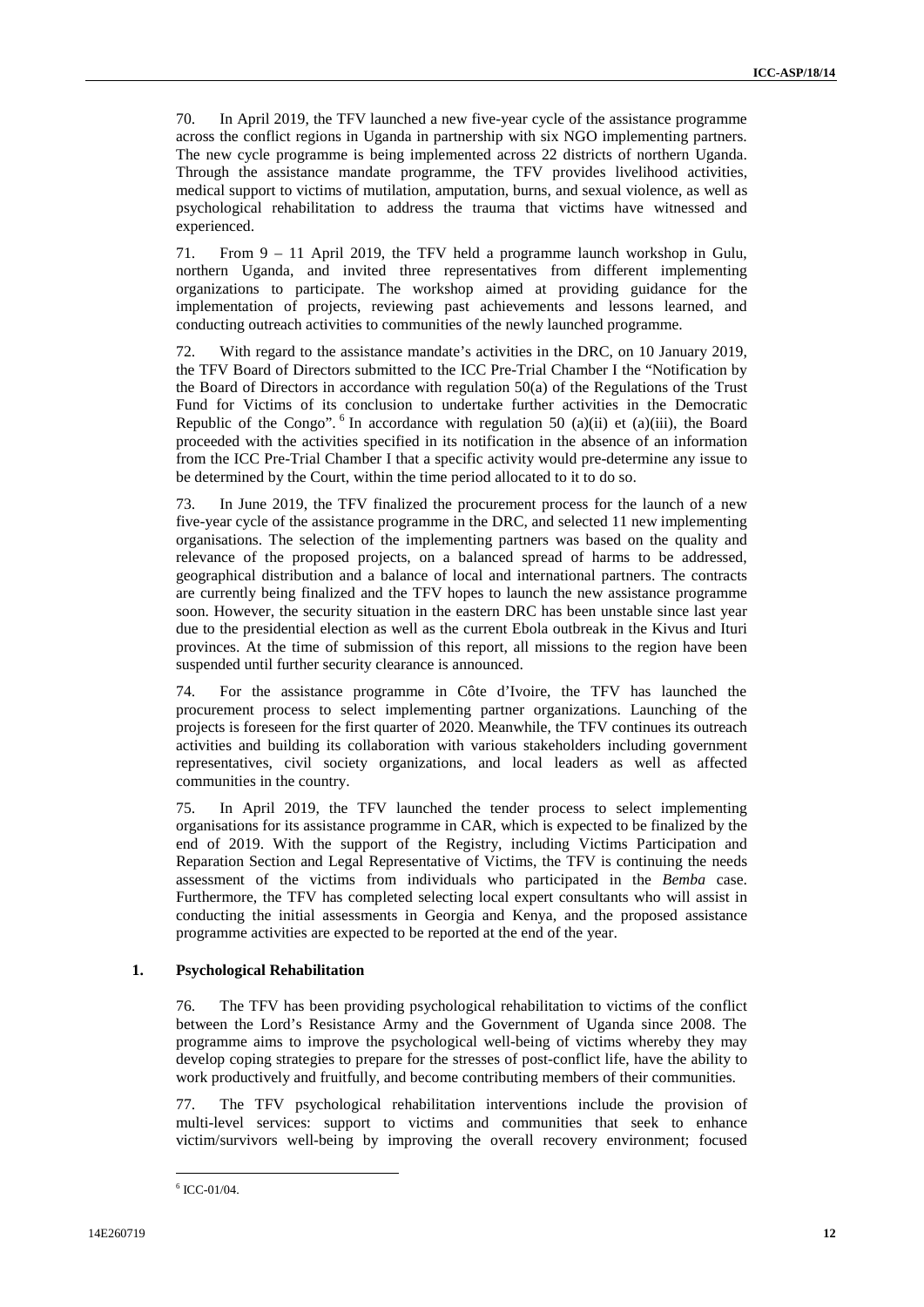70. In April 2019, the TFV launched a new five-year cycle of the assistance programme across the conflict regions in Uganda in partnership with six NGO implementing partners. The new cycle programme is being implemented across 22 districts of northern Uganda. Through the assistance mandate programme, the TFV provides livelihood activities, medical support to victims of mutilation, amputation, burns, and sexual violence, as well as psychological rehabilitation to address the trauma that victims have witnessed and experienced.

71. From 9 – 11 April 2019, the TFV held a programme launch workshop in Gulu, northern Uganda, and invited three representatives from different implementing organizations to participate. The workshop aimed at providing guidance for the implementation of projects, reviewing past achievements and lessons learned, and conducting outreach activities to communities of the newly launched programme.

72. With regard to the assistance mandate's activities in the DRC, on 10 January 2019, the TFV Board of Directors submitted to the ICC Pre-Trial Chamber I the "Notification by the Board of Directors in accordance with regulation 50(a) of the Regulations of the Trust Fund for Victims of its conclusion to undertake further activities in the Democratic Republic of the Congo".  $6$  In accordance with regulation 50 (a)(ii) et (a)(iii), the Board proceeded with the activities specified in its notification in the absence of an information from the ICC Pre-Trial Chamber I that a specific activity would pre-determine any issue to be determined by the Court, within the time period allocated to it to do so.

73. In June 2019, the TFV finalized the procurement process for the launch of a new five-year cycle of the assistance programme in the DRC, and selected 11 new implementing organisations. The selection of the implementing partners was based on the quality and relevance of the proposed projects, on a balanced spread of harms to be addressed, geographical distribution and a balance of local and international partners. The contracts are currently being finalized and the TFV hopes to launch the new assistance programme soon. However, the security situation in the eastern DRC has been unstable since last year due to the presidential election as well as the current Ebola outbreak in the Kivus and Ituri provinces. At the time of submission of this report, all missions to the region have been suspended until further security clearance is announced.

74. For the assistance programme in Côte d'Ivoire, the TFV has launched the procurement process to select implementing partner organizations. Launching of the projects is foreseen for the first quarter of 2020. Meanwhile, the TFV continues its outreach activities and building its collaboration with various stakeholders including government representatives, civil society organizations, and local leaders as well as affected communities in the country.

75. In April 2019, the TFV launched the tender process to select implementing organisations for its assistance programme in CAR, which is expected to be finalized by the end of 2019. With the support of the Registry, including Victims Participation and Reparation Section and Legal Representative of Victims, the TFV is continuing the needs assessment of the victims from individuals who participated in the *Bemba* case. Furthermore, the TFV has completed selecting local expert consultants who will assist in conducting the initial assessments in Georgia and Kenya, and the proposed assistance programme activities are expected to be reported at the end of the year.

### **1. Psychological Rehabilitation**

76. The TFV has been providing psychological rehabilitation to victims of the conflict between the Lord's Resistance Army and the Government of Uganda since 2008. The programme aims to improve the psychological well-being of victims whereby they may develop coping strategies to prepare for the stresses of post-conflict life, have the ability to work productively and fruitfully, and become contributing members of their communities.

77. The TFV psychological rehabilitation interventions include the provision of multi-level services: support to victims and communities that seek to enhance victim/survivors well-being by improving the overall recovery environment; focused

 $6$  ICC-01/04.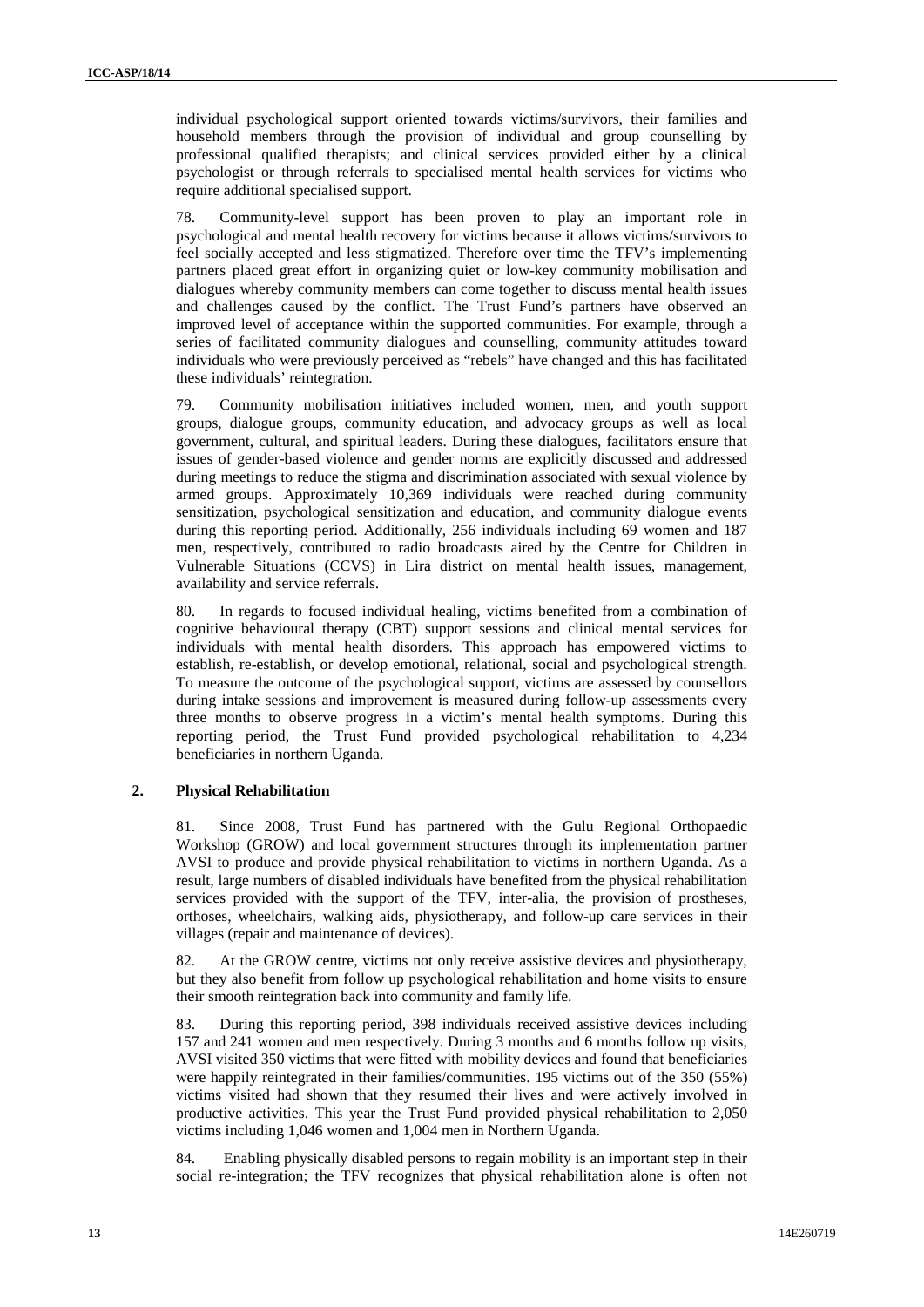individual psychological support oriented towards victims/survivors, their families and household members through the provision of individual and group counselling by professional qualified therapists; and clinical services provided either by a clinical psychologist or through referrals to specialised mental health services for victims who require additional specialised support.

78. Community-level support has been proven to play an important role in psychological and mental health recovery for victims because it allows victims/survivors to feel socially accepted and less stigmatized. Therefore over time the TFV's implementing partners placed great effort in organizing quiet or low-key community mobilisation and dialogues whereby community members can come together to discuss mental health issues and challenges caused by the conflict. The Trust Fund's partners have observed an improved level of acceptance within the supported communities. For example, through a series of facilitated community dialogues and counselling, community attitudes toward individuals who were previously perceived as "rebels" have changed and this has facilitated these individuals' reintegration.

79. Community mobilisation initiatives included women, men, and youth support groups, dialogue groups, community education, and advocacy groups as well as local government, cultural, and spiritual leaders. During these dialogues, facilitators ensure that issues of gender-based violence and gender norms are explicitly discussed and addressed during meetings to reduce the stigma and discrimination associated with sexual violence by armed groups. Approximately 10,369 individuals were reached during community sensitization, psychological sensitization and education, and community dialogue events during this reporting period. Additionally, 256 individuals including 69 women and 187 men, respectively, contributed to radio broadcasts aired by the Centre for Children in Vulnerable Situations (CCVS) in Lira district on mental health issues, management, availability and service referrals.

80. In regards to focused individual healing, victims benefited from a combination of cognitive behavioural therapy (CBT) support sessions and clinical mental services for individuals with mental health disorders. This approach has empowered victims to establish, re-establish, or develop emotional, relational, social and psychological strength. To measure the outcome of the psychological support, victims are assessed by counsellors during intake sessions and improvement is measured during follow-up assessments every three months to observe progress in a victim's mental health symptoms. During this reporting period, the Trust Fund provided psychological rehabilitation to 4,234 beneficiaries in northern Uganda.

#### **2. Physical Rehabilitation**

81. Since 2008, Trust Fund has partnered with the Gulu Regional Orthopaedic Workshop (GROW) and local government structures through its implementation partner AVSI to produce and provide physical rehabilitation to victims in northern Uganda. As a result, large numbers of disabled individuals have benefited from the physical rehabilitation services provided with the support of the TFV, inter-alia, the provision of prostheses, orthoses, wheelchairs, walking aids, physiotherapy, and follow-up care services in their villages (repair and maintenance of devices).

82. At the GROW centre, victims not only receive assistive devices and physiotherapy, but they also benefit from follow up psychological rehabilitation and home visits to ensure their smooth reintegration back into community and family life.

83. During this reporting period, 398 individuals received assistive devices including 157 and 241 women and men respectively. During 3 months and 6 months follow up visits, AVSI visited 350 victims that were fitted with mobility devices and found that beneficiaries were happily reintegrated in their families/communities. 195 victims out of the 350 (55%) victims visited had shown that they resumed their lives and were actively involved in productive activities. This year the Trust Fund provided physical rehabilitation to 2,050 victims including 1,046 women and 1,004 men in Northern Uganda.

84. Enabling physically disabled persons to regain mobility is an important step in their social re-integration; the TFV recognizes that physical rehabilitation alone is often not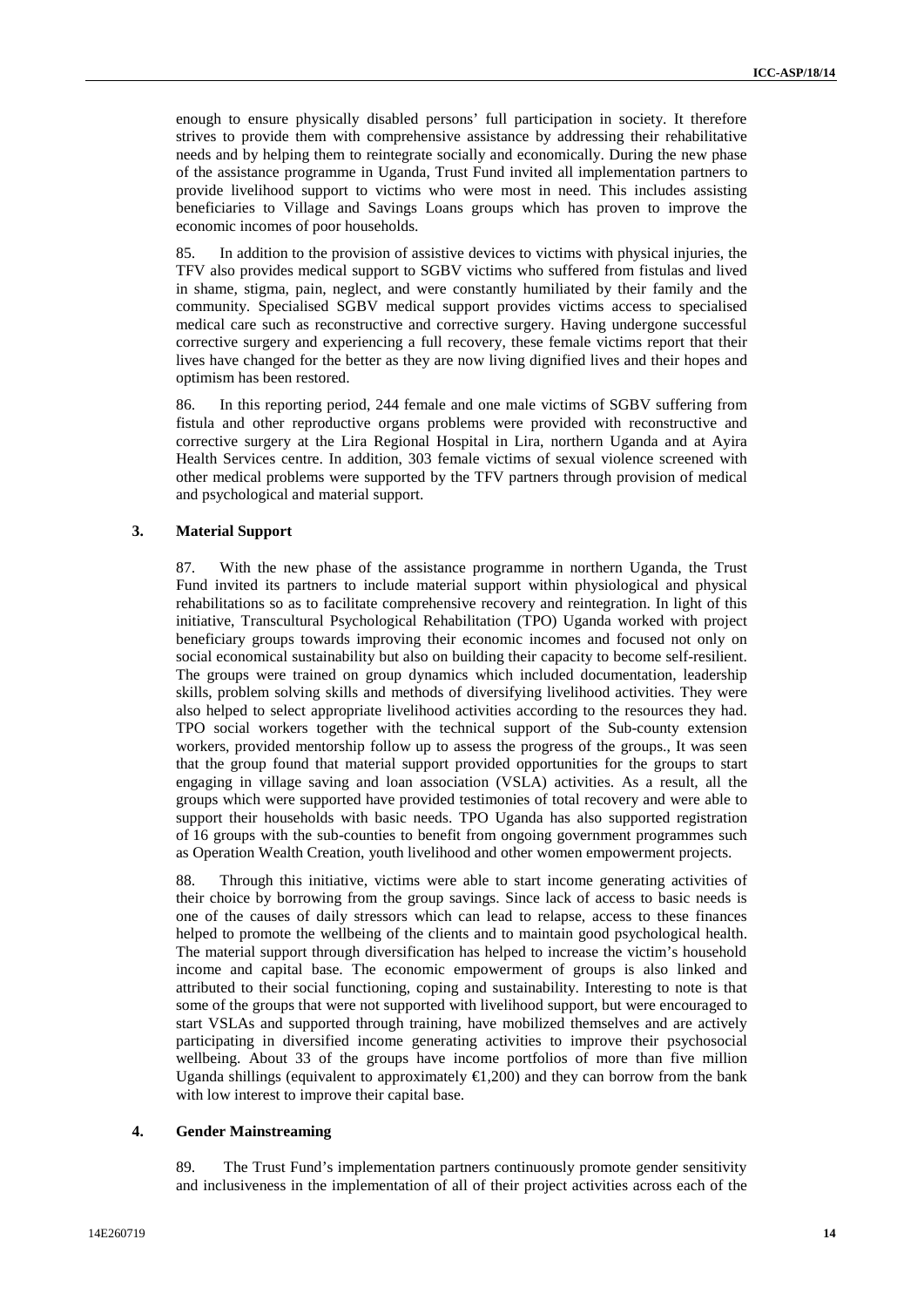enough to ensure physically disabled persons' full participation in society. It therefore strives to provide them with comprehensive assistance by addressing their rehabilitative needs and by helping them to reintegrate socially and economically. During the new phase of the assistance programme in Uganda, Trust Fund invited all implementation partners to provide livelihood support to victims who were most in need. This includes assisting beneficiaries to Village and Savings Loans groups which has proven to improve the economic incomes of poor households.

85. In addition to the provision of assistive devices to victims with physical injuries, the TFV also provides medical support to SGBV victims who suffered from fistulas and lived in shame, stigma, pain, neglect, and were constantly humiliated by their family and the community. Specialised SGBV medical support provides victims access to specialised medical care such as reconstructive and corrective surgery. Having undergone successful corrective surgery and experiencing a full recovery, these female victims report that their lives have changed for the better as they are now living dignified lives and their hopes and optimism has been restored.

86. In this reporting period, 244 female and one male victims of SGBV suffering from fistula and other reproductive organs problems were provided with reconstructive and corrective surgery at the Lira Regional Hospital in Lira, northern Uganda and at Ayira Health Services centre. In addition, 303 female victims of sexual violence screened with other medical problems were supported by the TFV partners through provision of medical and psychological and material support.

#### **3. Material Support**

87. With the new phase of the assistance programme in northern Uganda, the Trust Fund invited its partners to include material support within physiological and physical rehabilitations so as to facilitate comprehensive recovery and reintegration. In light of this initiative, Transcultural Psychological Rehabilitation (TPO) Uganda worked with project beneficiary groups towards improving their economic incomes and focused not only on social economical sustainability but also on building their capacity to become self-resilient. The groups were trained on group dynamics which included documentation, leadership skills, problem solving skills and methods of diversifying livelihood activities. They were also helped to select appropriate livelihood activities according to the resources they had. TPO social workers together with the technical support of the Sub-county extension workers, provided mentorship follow up to assess the progress of the groups., It was seen that the group found that material support provided opportunities for the groups to start engaging in village saving and loan association (VSLA) activities. As a result, all the groups which were supported have provided testimonies of total recovery and were able to support their households with basic needs. TPO Uganda has also supported registration of 16 groups with the sub-counties to benefit from ongoing government programmes such as Operation Wealth Creation, youth livelihood and other women empowerment projects.

88. Through this initiative, victims were able to start income generating activities of their choice by borrowing from the group savings. Since lack of access to basic needs is one of the causes of daily stressors which can lead to relapse, access to these finances helped to promote the wellbeing of the clients and to maintain good psychological health. The material support through diversification has helped to increase the victim's household income and capital base. The economic empowerment of groups is also linked and attributed to their social functioning, coping and sustainability. Interesting to note is that some of the groups that were not supported with livelihood support, but were encouraged to start VSLAs and supported through training, have mobilized themselves and are actively participating in diversified income generating activities to improve their psychosocial wellbeing. About 33 of the groups have income portfolios of more than five million Uganda shillings (equivalent to approximately  $\bigoplus$ , 200) and they can borrow from the bank with low interest to improve their capital base.

#### **4. Gender Mainstreaming**

89. The Trust Fund's implementation partners continuously promote gender sensitivity and inclusiveness in the implementation of all of their project activities across each of the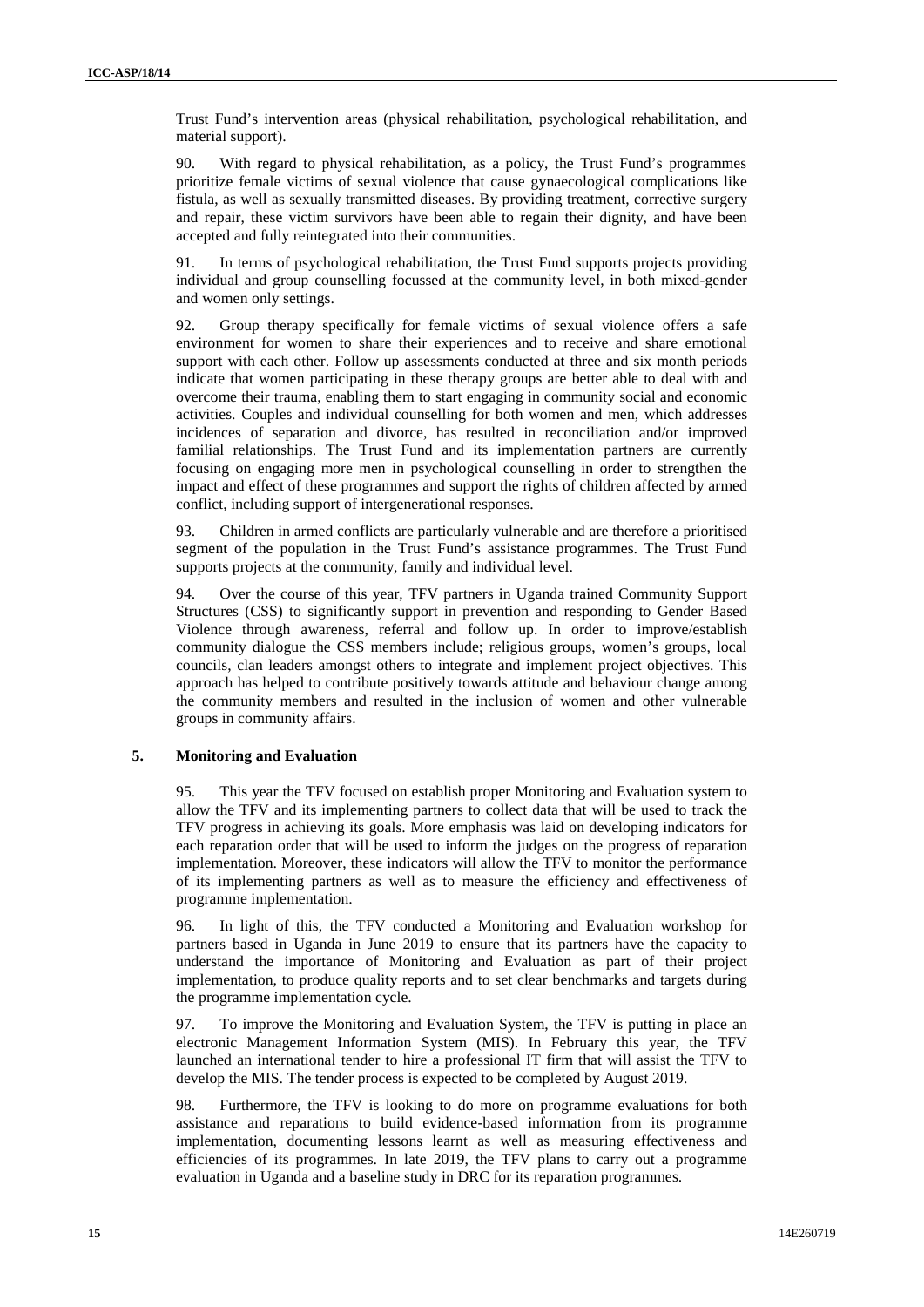Trust Fund's intervention areas (physical rehabilitation, psychological rehabilitation, and material support).

90. With regard to physical rehabilitation, as a policy, the Trust Fund's programmes prioritize female victims of sexual violence that cause gynaecological complications like fistula, as well as sexually transmitted diseases. By providing treatment, corrective surgery and repair, these victim survivors have been able to regain their dignity, and have been accepted and fully reintegrated into their communities.

91. In terms of psychological rehabilitation, the Trust Fund supports projects providing individual and group counselling focussed at the community level, in both mixed-gender and women only settings.

92. Group therapy specifically for female victims of sexual violence offers a safe environment for women to share their experiences and to receive and share emotional support with each other. Follow up assessments conducted at three and six month periods indicate that women participating in these therapy groups are better able to deal with and overcome their trauma, enabling them to start engaging in community social and economic activities. Couples and individual counselling for both women and men, which addresses incidences of separation and divorce, has resulted in reconciliation and/or improved familial relationships. The Trust Fund and its implementation partners are currently focusing on engaging more men in psychological counselling in order to strengthen the impact and effect of these programmes and support the rights of children affected by armed conflict, including support of intergenerational responses.

93. Children in armed conflicts are particularly vulnerable and are therefore a prioritised segment of the population in the Trust Fund's assistance programmes. The Trust Fund supports projects at the community, family and individual level.

94. Over the course of this year, TFV partners in Uganda trained Community Support Structures (CSS) to significantly support in prevention and responding to Gender Based Violence through awareness, referral and follow up. In order to improve/establish community dialogue the CSS members include; religious groups, women's groups, local councils, clan leaders amongst others to integrate and implement project objectives. This approach has helped to contribute positively towards attitude and behaviour change among the community members and resulted in the inclusion of women and other vulnerable groups in community affairs.

### **5. Monitoring and Evaluation**

95. This year the TFV focused on establish proper Monitoring and Evaluation system to allow the TFV and its implementing partners to collect data that will be used to track the TFV progress in achieving its goals. More emphasis was laid on developing indicators for each reparation order that will be used to inform the judges on the progress of reparation implementation. Moreover, these indicators will allow the TFV to monitor the performance of its implementing partners as well as to measure the efficiency and effectiveness of programme implementation.

96. In light of this, the TFV conducted a Monitoring and Evaluation workshop for partners based in Uganda in June 2019 to ensure that its partners have the capacity to understand the importance of Monitoring and Evaluation as part of their project implementation, to produce quality reports and to set clear benchmarks and targets during the programme implementation cycle.

97. To improve the Monitoring and Evaluation System, the TFV is putting in place an electronic Management Information System (MIS). In February this year, the TFV launched an international tender to hire a professional IT firm that will assist the TFV to develop the MIS. The tender process is expected to be completed by August 2019.

98. Furthermore, the TFV is looking to do more on programme evaluations for both assistance and reparations to build evidence-based information from its programme implementation, documenting lessons learnt as well as measuring effectiveness and efficiencies of its programmes. In late 2019, the TFV plans to carry out a programme evaluation in Uganda and a baseline study in DRC for its reparation programmes.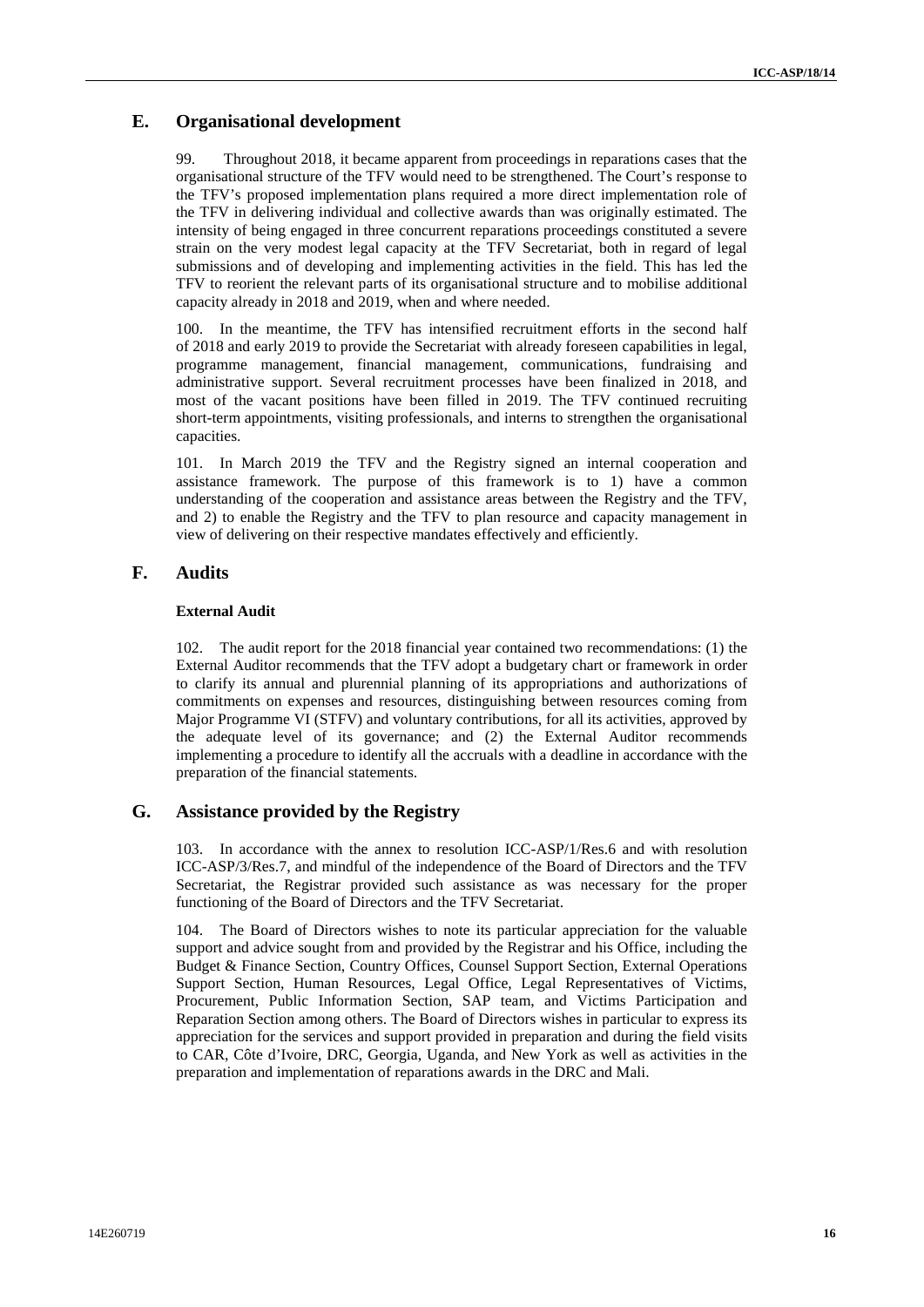## **E. Organisational development**

99. Throughout 2018, it became apparent from proceedings in reparations cases that the organisational structure of the TFV would need to be strengthened. The Court's response to the TFV's proposed implementation plans required a more direct implementation role of the TFV in delivering individual and collective awards than was originally estimated. The intensity of being engaged in three concurrent reparations proceedings constituted a severe strain on the very modest legal capacity at the TFV Secretariat, both in regard of legal submissions and of developing and implementing activities in the field. This has led the TFV to reorient the relevant parts of its organisational structure and to mobilise additional capacity already in 2018 and 2019, when and where needed.

100. In the meantime, the TFV has intensified recruitment efforts in the second half of 2018 and early 2019 to provide the Secretariat with already foreseen capabilities in legal, programme management, financial management, communications, fundraising and administrative support. Several recruitment processes have been finalized in 2018, and most of the vacant positions have been filled in 2019. The TFV continued recruiting short-term appointments, visiting professionals, and interns to strengthen the organisational capacities.

101. In March 2019 the TFV and the Registry signed an internal cooperation and assistance framework. The purpose of this framework is to 1) have a common understanding of the cooperation and assistance areas between the Registry and the TFV, and 2) to enable the Registry and the TFV to plan resource and capacity management in view of delivering on their respective mandates effectively and efficiently.

## **F. Audits**

### **External Audit**

102. The audit report for the 2018 financial year contained two recommendations: (1) the External Auditor recommends that the TFV adopt a budgetary chart or framework in order to clarify its annual and plurennial planning of its appropriations and authorizations of commitments on expenses and resources, distinguishing between resources coming from Major Programme VI (STFV) and voluntary contributions, for all its activities, approved by the adequate level of its governance; and (2) the External Auditor recommends implementing a procedure to identify all the accruals with a deadline in accordance with the preparation of the financial statements.

## **G. Assistance provided by the Registry**

103. In accordance with the annex to resolution ICC-ASP/1/Res.6 and with resolution ICC-ASP/3/Res.7, and mindful of the independence of the Board of Directors and the TFV Secretariat, the Registrar provided such assistance as was necessary for the proper functioning of the Board of Directors and the TFV Secretariat.

104. The Board of Directors wishes to note its particular appreciation for the valuable support and advice sought from and provided by the Registrar and his Office, including the Budget & Finance Section, Country Offices, Counsel Support Section, External Operations Support Section, Human Resources, Legal Office, Legal Representatives of Victims, Procurement, Public Information Section, SAP team, and Victims Participation and Reparation Section among others. The Board of Directors wishes in particular to express its appreciation for the services and support provided in preparation and during the field visits to CAR, Côte d'Ivoire, DRC, Georgia, Uganda, and New York as well as activities in the preparation and implementation of reparations awards in the DRC and Mali.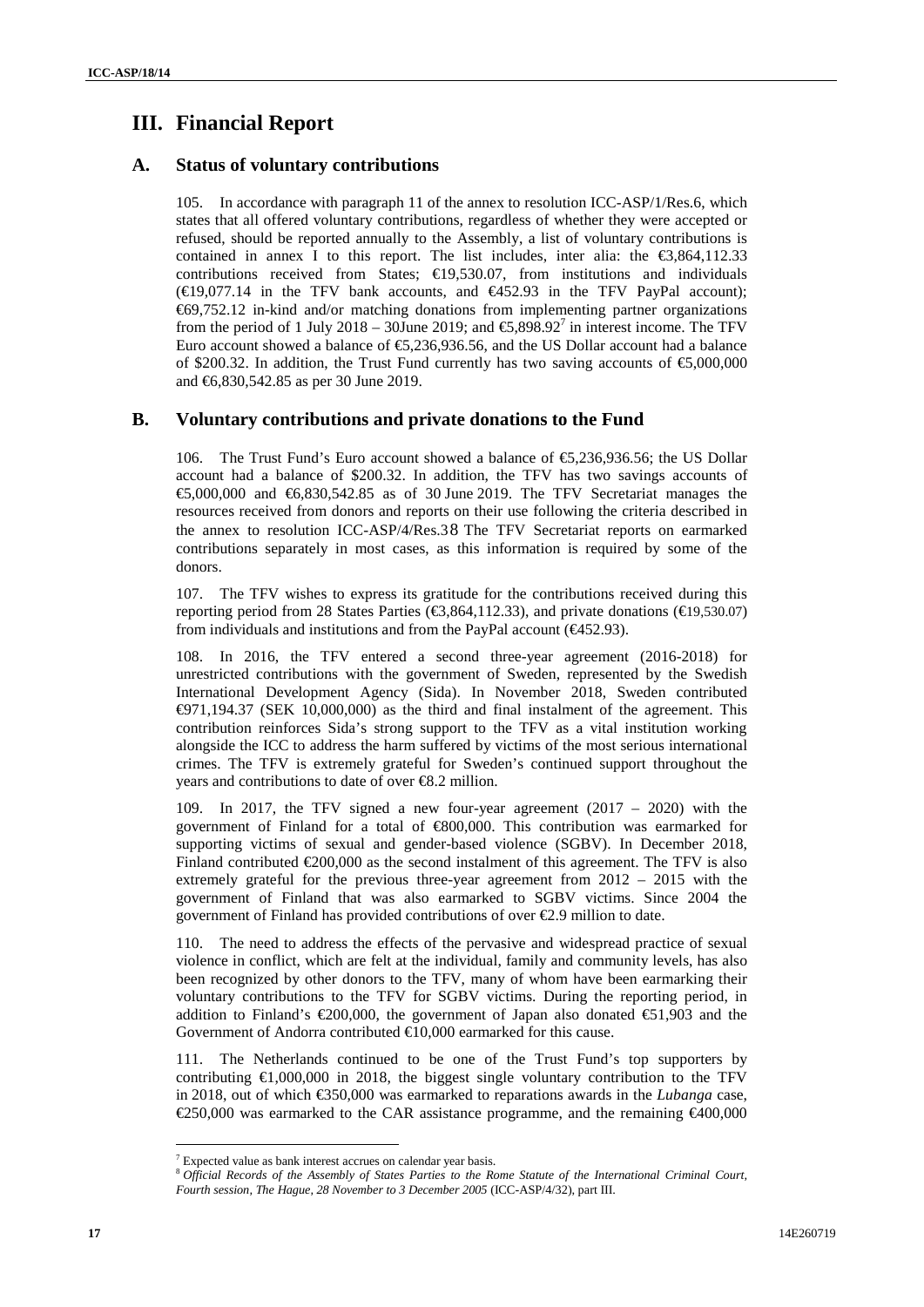# **III. Financial Report**

## **A. Status of voluntary contributions**

105. In accordance with paragraph 11 of the annex to resolution ICC-ASP/1/Res.6, which states that all offered voluntary contributions, regardless of whether they were accepted or refused, should be reported annually to the Assembly, a list of voluntary contributions is contained in annex I to this report. The list includes, inter alia: the  $\epsilon$ 3,864,112.33 contributions received from States;  $\in$ 19,530.07, from institutions and individuals  $(\text{E}9.077.14$  in the TFV bank accounts, and  $\text{E}452.93$  in the TFV PayPal account); €69,752.12 in-kind and/or matching donations from implementing partner organizations from the period of 1 July 2018 – 30June 2019; and  $\epsilon$ , 898.92<sup>7</sup> in interest income. The TFV Euro account showed a balance of  $\epsilon$ ,236,936.56, and the US Dollar account had a balance of \$200.32. In addition, the Trust Fund currently has two saving accounts of  $\epsilon$ 5,000,000 and €6,830,542.85 as per 30 June 2019.

### **B. Voluntary contributions and private donations to the Fund**

106. The Trust Fund's Euro account showed a balance of  $\epsilon$ 5.236.936.56; the US Dollar account had a balance of \$200.32. In addition, the TFV has two savings accounts of €5,000,000 and €6,830,542.85 as of 30 June 2019. The TFV Secretariat manages the resources received from donors and reports on their use following the criteria described in the annex to resolution ICC-ASP/4/Res.38 The TFV Secretariat reports on earmarked contributions separately in most cases, as this information is required by some of the donors.

107. The TFV wishes to express its gratitude for the contributions received during this reporting period from 28 States Parties ( $\text{€3,864,112.33}$ ), and private donations ( $\text{€19,530.07}$ ) from individuals and institutions and from the PayPal account (€452.93).

108. In 2016, the TFV entered a second three-year agreement (2016-2018) for unrestricted contributions with the government of Sweden, represented by the Swedish International Development Agency (Sida). In November 2018, Sweden contributed €971,194.37 (SEK 10,000,000) as the third and final instalment of the agreement. This contribution reinforces Sida's strong support to the TFV as a vital institution working alongside the ICC to address the harm suffered by victims of the most serious international crimes. The TFV is extremely grateful for Sweden's continued support throughout the years and contributions to date of over €8.2 million.

109. In 2017, the TFV signed a new four-year agreement (2017 – 2020) with the government of Finland for a total of €800,000. This contribution was earmarked for supporting victims of sexual and gender-based violence (SGBV). In December 2018, Finland contributed  $\epsilon$  200,000 as the second instalment of this agreement. The TFV is also extremely grateful for the previous three-year agreement from 2012 – 2015 with the government of Finland that was also earmarked to SGBV victims. Since 2004 the government of Finland has provided contributions of over €2.9 million to date.

110. The need to address the effects of the pervasive and widespread practice of sexual violence in conflict, which are felt at the individual, family and community levels, has also been recognized by other donors to the TFV, many of whom have been earmarking their voluntary contributions to the TFV for SGBV victims. During the reporting period, in addition to Finland's  $\in 200,000$ , the government of Japan also donated  $\in 51,903$  and the Government of Andorra contributed €10,000 earmarked for this cause.

111. The Netherlands continued to be one of the Trust Fund's top supporters by contributing €1,000,000 in 2018, the biggest single voluntary contribution to the TFV in 2018, out of which €350,000 was earmarked to reparations awards in the *Lubanga* case, €250,000 was earmarked to the CAR assistance programme, and the remaining €400,000

 $7$  Expected value as bank interest accrues on calendar year basis.

<sup>8</sup> *Official Records of the Assembly of States Parties to the Rome Statute of the International Criminal Court, Fourth session, The Hague, 28 November to 3 December 2005* (ICC-ASP/4/32), part III.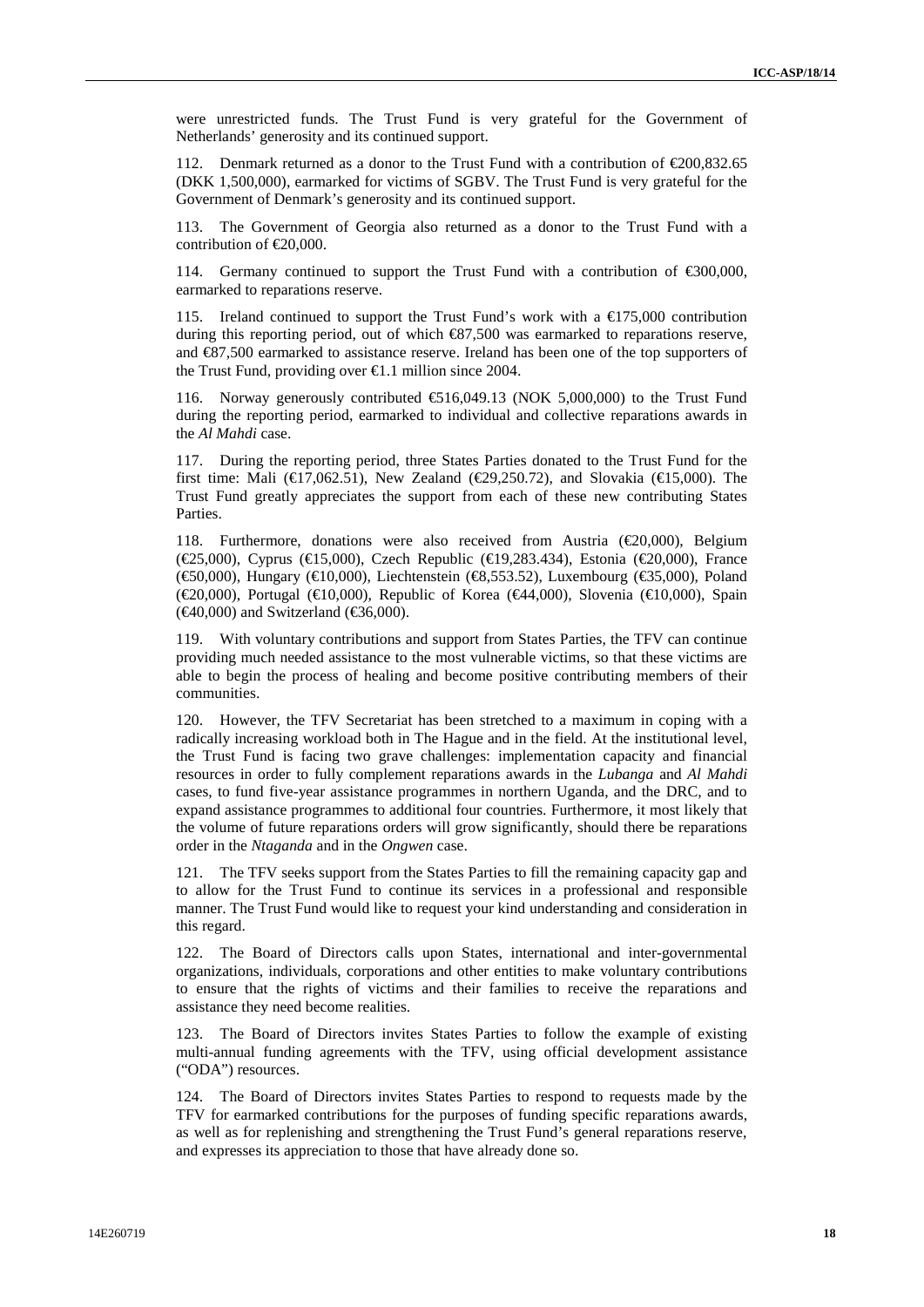were unrestricted funds. The Trust Fund is very grateful for the Government of Netherlands' generosity and its continued support.

112. Denmark returned as a donor to the Trust Fund with a contribution of €200,832.65 (DKK 1,500,000), earmarked for victims of SGBV. The Trust Fund is very grateful for the Government of Denmark's generosity and its continued support.

113. The Government of Georgia also returned as a donor to the Trust Fund with a contribution of €20,000.

114. Germany continued to support the Trust Fund with a contribution of €300,000, earmarked to reparations reserve.

115. Ireland continued to support the Trust Fund's work with a  $\text{\textsterling}175,000$  contribution during this reporting period, out of which  $\bigotimes 7,500$  was earmarked to reparations reserve, and €87,500 earmarked to assistance reserve. Ireland has been one of the top supporters of the Trust Fund, providing over  $\in$  1.1 million since 2004.

116. Norway generously contributed €516,049.13 (NOK 5,000,000) to the Trust Fund during the reporting period, earmarked to individual and collective reparations awards in the *Al Mahdi* case.

117. During the reporting period, three States Parties donated to the Trust Fund for the first time: Mali ( $\in$ 17,062.51), New Zealand ( $\in$ 29,250.72), and Slovakia ( $\in$ 15,000). The Trust Fund greatly appreciates the support from each of these new contributing States Parties.

118. Furthermore, donations were also received from Austria  $(\text{\textcircled{20,000}})$ , Belgium (€25,000), Cyprus (€15,000), Czech Republic (€19,283.434), Estonia (€20,000), France (€50,000), Hungary (€10,000), Liechtenstein (€8,553.52), Luxembourg (€35,000), Poland (€20,000), Portugal (€10,000), Republic of Korea (€44,000), Slovenia (€10,000), Spain  $(\text{\textsterling}40,000)$  and Switzerland  $(\text{\textsterling}6,000)$ .

119. With voluntary contributions and support from States Parties, the TFV can continue providing much needed assistance to the most vulnerable victims, so that these victims are able to begin the process of healing and become positive contributing members of their communities.

120. However, the TFV Secretariat has been stretched to a maximum in coping with a radically increasing workload both in The Hague and in the field. At the institutional level, the Trust Fund is facing two grave challenges: implementation capacity and financial resources in order to fully complement reparations awards in the *Lubanga* and *Al Mahdi* cases, to fund five-year assistance programmes in northern Uganda, and the DRC, and to expand assistance programmes to additional four countries. Furthermore, it most likely that the volume of future reparations orders will grow significantly, should there be reparations order in the *Ntaganda* and in the *Ongwen* case.

121. The TFV seeks support from the States Parties to fill the remaining capacity gap and to allow for the Trust Fund to continue its services in a professional and responsible manner. The Trust Fund would like to request your kind understanding and consideration in this regard.

122. The Board of Directors calls upon States, international and inter-governmental organizations, individuals, corporations and other entities to make voluntary contributions to ensure that the rights of victims and their families to receive the reparations and assistance they need become realities.

123. The Board of Directors invites States Parties to follow the example of existing multi-annual funding agreements with the TFV, using official development assistance ("ODA") resources.

124. The Board of Directors invites States Parties to respond to requests made by the TFV for earmarked contributions for the purposes of funding specific reparations awards, as well as for replenishing and strengthening the Trust Fund's general reparations reserve, and expresses its appreciation to those that have already done so.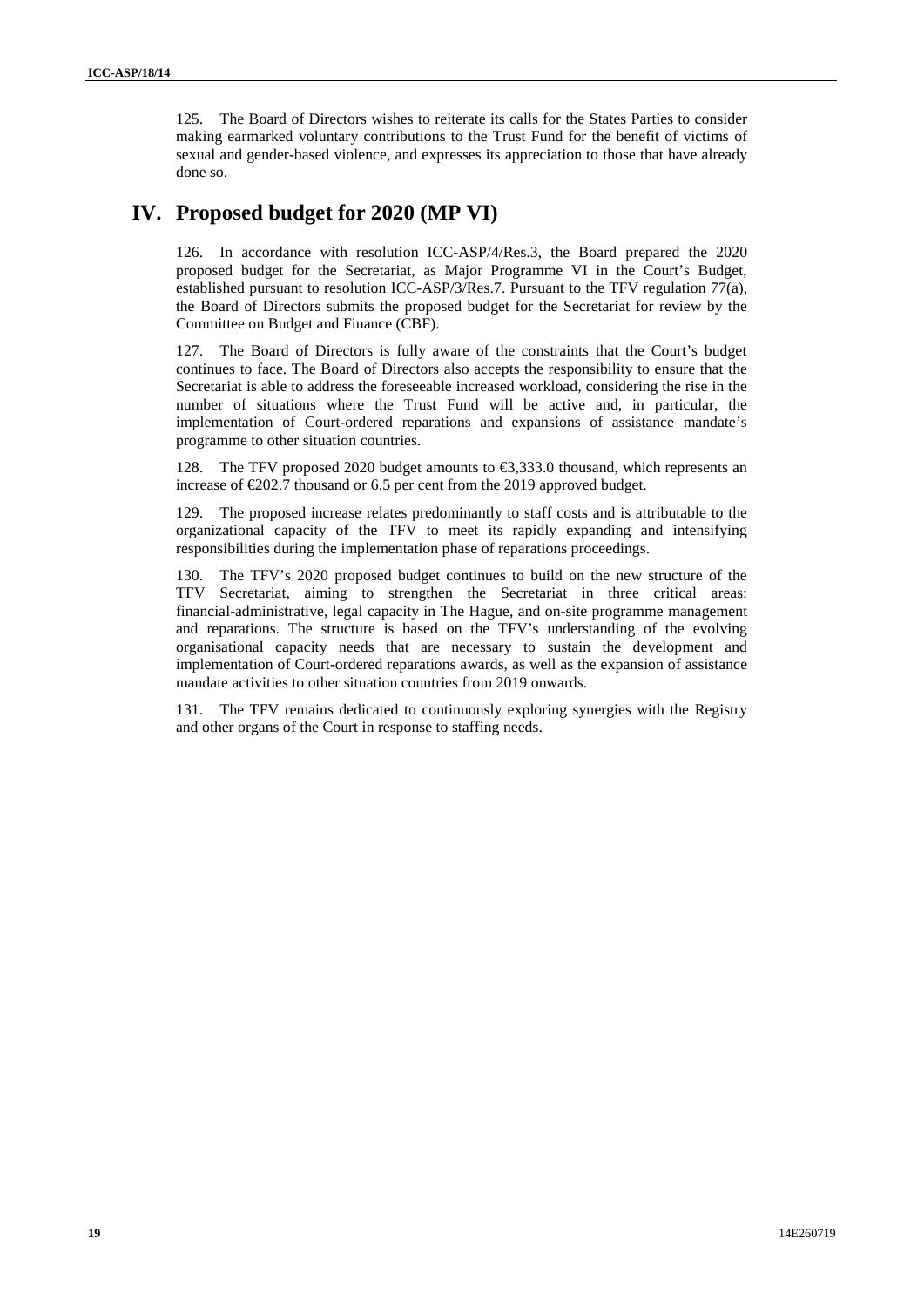125. The Board of Directors wishes to reiterate its calls for the States Parties to consider making earmarked voluntary contributions to the Trust Fund for the benefit of victims of sexual and gender-based violence, and expresses its appreciation to those that have already done so.

## **IV. Proposed budget for 2020 (MP VI)**

126. In accordance with resolution ICC-ASP/4/Res.3, the Board prepared the 2020 proposed budget for the Secretariat, as Major Programme VI in the Court's Budget, established pursuant to resolution ICC-ASP/3/Res.7. Pursuant to the TFV regulation 77(a), the Board of Directors submits the proposed budget for the Secretariat for review by the Committee on Budget and Finance (CBF).

127. The Board of Directors is fully aware of the constraints that the Court's budget continues to face. The Board of Directors also accepts the responsibility to ensure that the Secretariat is able to address the foreseeable increased workload, considering the rise in the number of situations where the Trust Fund will be active and, in particular, the implementation of Court-ordered reparations and expansions of assistance mandate's programme to other situation countries.

128. The TFV proposed 2020 budget amounts to €3,333.0 thousand, which represents an increase of  $\epsilon$ 202.7 thousand or 6.5 per cent from the 2019 approved budget.

129. The proposed increase relates predominantly to staff costs and is attributable to the organizational capacity of the TFV to meet its rapidly expanding and intensifying responsibilities during the implementation phase of reparations proceedings.

130. The TFV's 2020 proposed budget continues to build on the new structure of the TFV Secretariat, aiming to strengthen the Secretariat in three critical areas: financial-administrative, legal capacity in The Hague, and on-site programme management and reparations. The structure is based on the TFV's understanding of the evolving organisational capacity needs that are necessary to sustain the development and implementation of Court-ordered reparations awards, as well as the expansion of assistance mandate activities to other situation countries from 2019 onwards.

131. The TFV remains dedicated to continuously exploring synergies with the Registry and other organs of the Court in response to staffing needs.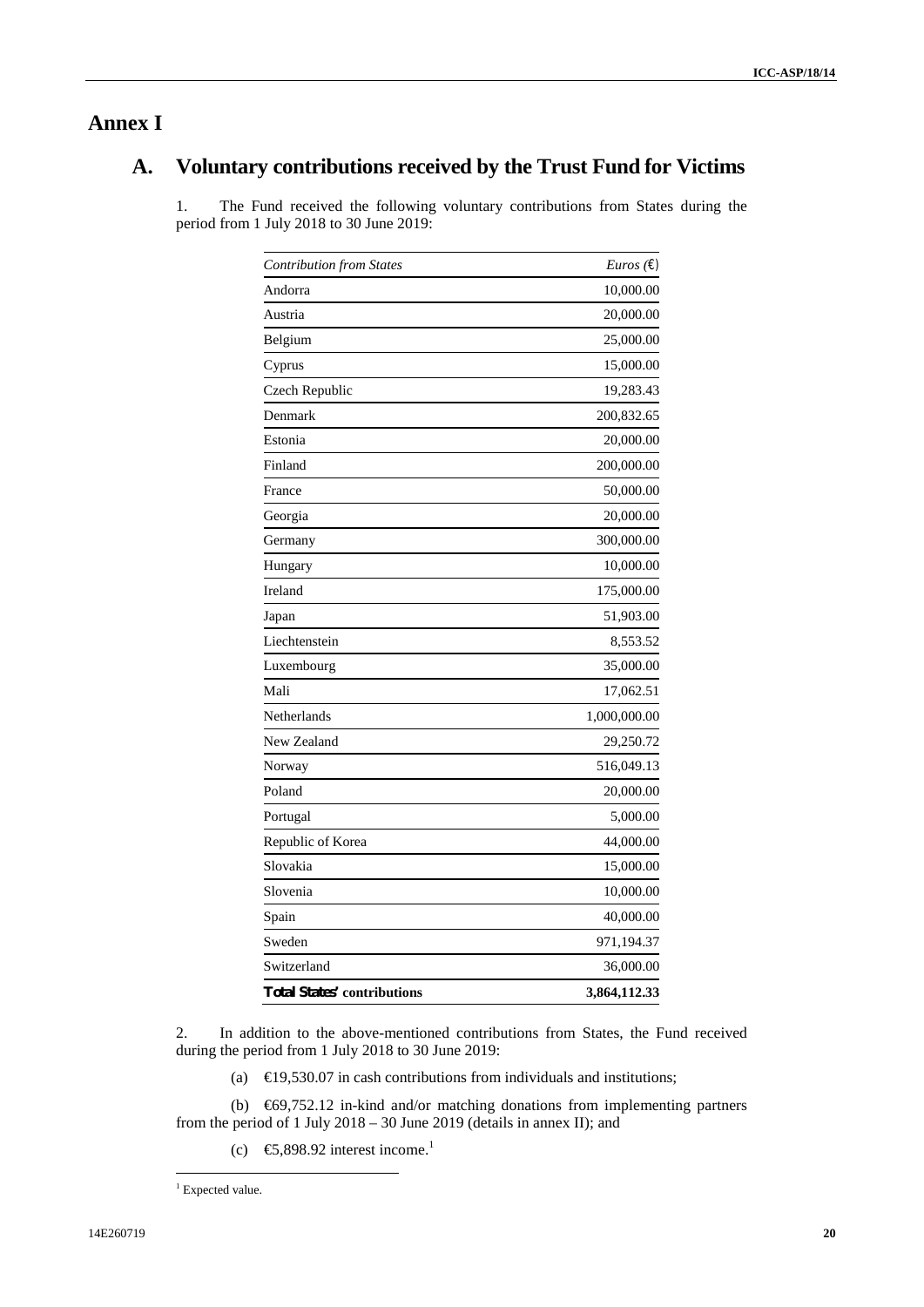## **Annex I**

# **A. Voluntary contributions received by the Trust Fund for Victims**

1. The Fund received the following voluntary contributions from States during the period from 1 July 2018 to 30 June 2019:

| <b>Total States' contributions</b> | 3,864,112.33              |
|------------------------------------|---------------------------|
| Switzerland                        | 36,000.00                 |
| Sweden                             | 971,194.37                |
| Spain                              | 40,000.00                 |
| Slovenia                           | 10,000.00                 |
| Slovakia                           | 15,000.00                 |
| Republic of Korea                  | 44,000.00                 |
| Portugal                           | 5,000.00                  |
| Poland                             | 20,000.00                 |
| Norway                             | 516,049.13                |
| New Zealand                        | 29,250.72                 |
| Netherlands                        | 1,000,000.00              |
| Mali                               | 17,062.51                 |
| Luxembourg                         | 35,000.00                 |
| Liechtenstein                      | 8,553.52                  |
| Japan                              | 51,903.00                 |
| Ireland                            | 175,000.00                |
| Hungary                            | 10,000.00                 |
| Germany                            | 300,000.00                |
| Georgia                            | 20,000.00                 |
| France                             | 50,000.00                 |
| Finland                            | 200,000.00                |
| Estonia                            | 20,000.00                 |
| Denmark                            | 200,832.65                |
| Czech Republic                     | 19,283.43                 |
| Cyprus                             | 15,000.00                 |
| Belgium                            | 25,000.00                 |
| Austria                            | 20,000.00                 |
| Andorra                            | 10,000.00                 |
| <b>Contribution from States</b>    | <i>Euros</i> $(\epsilon)$ |

2. In addition to the above-mentioned contributions from States, the Fund received during the period from 1 July 2018 to 30 June 2019:

(a)  $\in$  9,530.07 in cash contributions from individuals and institutions;

(b) €69,752.12 in-kind and/or matching donations from implementing partners from the period of 1 July 2018 – 30 June 2019 (details in annex II); and

(c)  $\bigoplus$  6.898.92 interest income.<sup>1</sup>

<sup>&</sup>lt;sup>1</sup> Expected value.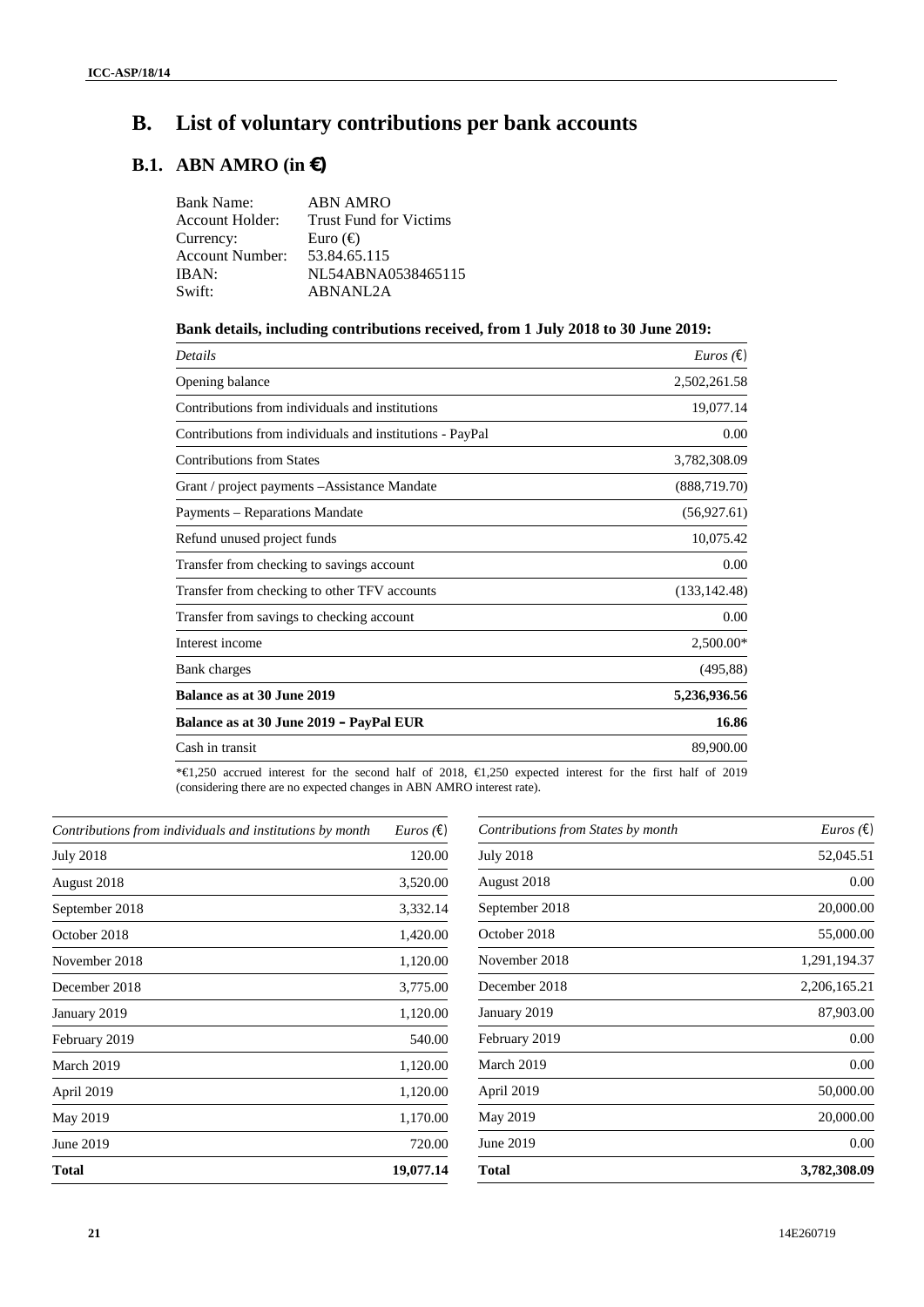# **B. List of voluntary contributions per bank accounts**

## **B.1. ABN AMRO (in €)**

### **Bank details, including contributions received, from 1 July 2018 to 30 June 2019:**

| Details                                                  | <i>Euros</i> $(\epsilon)$ |
|----------------------------------------------------------|---------------------------|
| Opening balance                                          | 2,502,261.58              |
| Contributions from individuals and institutions          | 19,077.14                 |
| Contributions from individuals and institutions - PayPal | 0.00                      |
| <b>Contributions from States</b>                         | 3,782,308.09              |
| Grant / project payments - Assistance Mandate            | (888, 719.70)             |
| Payments – Reparations Mandate                           | (56,927.61)               |
| Refund unused project funds                              | 10,075.42                 |
| Transfer from checking to savings account                | 0.00                      |
| Transfer from checking to other TFV accounts             | (133, 142.48)             |
| Transfer from savings to checking account                | 0.00                      |
| Interest income                                          | 2,500.00*                 |
| Bank charges                                             | (495, 88)                 |
| <b>Balance as at 30 June 2019</b>                        | 5,236,936.56              |
| Balance as at 30 June 2019 - PayPal EUR                  | 16.86                     |
| Cash in transit                                          | 89,900.00                 |
|                                                          |                           |

\*€1,250 accrued interest for the second half of 2018, €1,250 expected interest for the first half of 2019 (considering there are no expected changes in ABN AMRO interest rate).

| Contributions from individuals and institutions by month | <i>Euros</i> ( $\epsilon$ ) |
|----------------------------------------------------------|-----------------------------|
| <b>July 2018</b>                                         | 120.00                      |
| August 2018                                              | 3,520.00                    |
| September 2018                                           | 3,332.14                    |
| October 2018                                             | 1,420.00                    |
| November 2018                                            | 1,120.00                    |
| December 2018                                            | 3,775.00                    |
| January 2019                                             | 1,120.00                    |
| February 2019                                            | 540.00                      |
| March 2019                                               | 1,120.00                    |
| April 2019                                               | 1,120.00                    |
| May 2019                                                 | 1,170.00                    |
| June 2019                                                | 720.00                      |
| <b>Total</b>                                             | 19,077.14                   |
|                                                          |                             |

| Contributions from States by month | <i>Euros</i> ( $\epsilon$ ) |
|------------------------------------|-----------------------------|
| July 2018                          | 52,045.51                   |
| August 2018                        | 0.00                        |
| September 2018                     | 20,000.00                   |
| October 2018                       | 55,000.00                   |
| November 2018                      | 1,291,194.37                |
| December 2018                      | 2,206,165.21                |
| January 2019                       | 87,903.00                   |
| February 2019                      | 0.00                        |
| March 2019                         | 0.00                        |
| April 2019                         | 50,000.00                   |
| May 2019                           | 20,000.00                   |
| June 2019                          | 0.00                        |
| Total                              | 3,782,308.09                |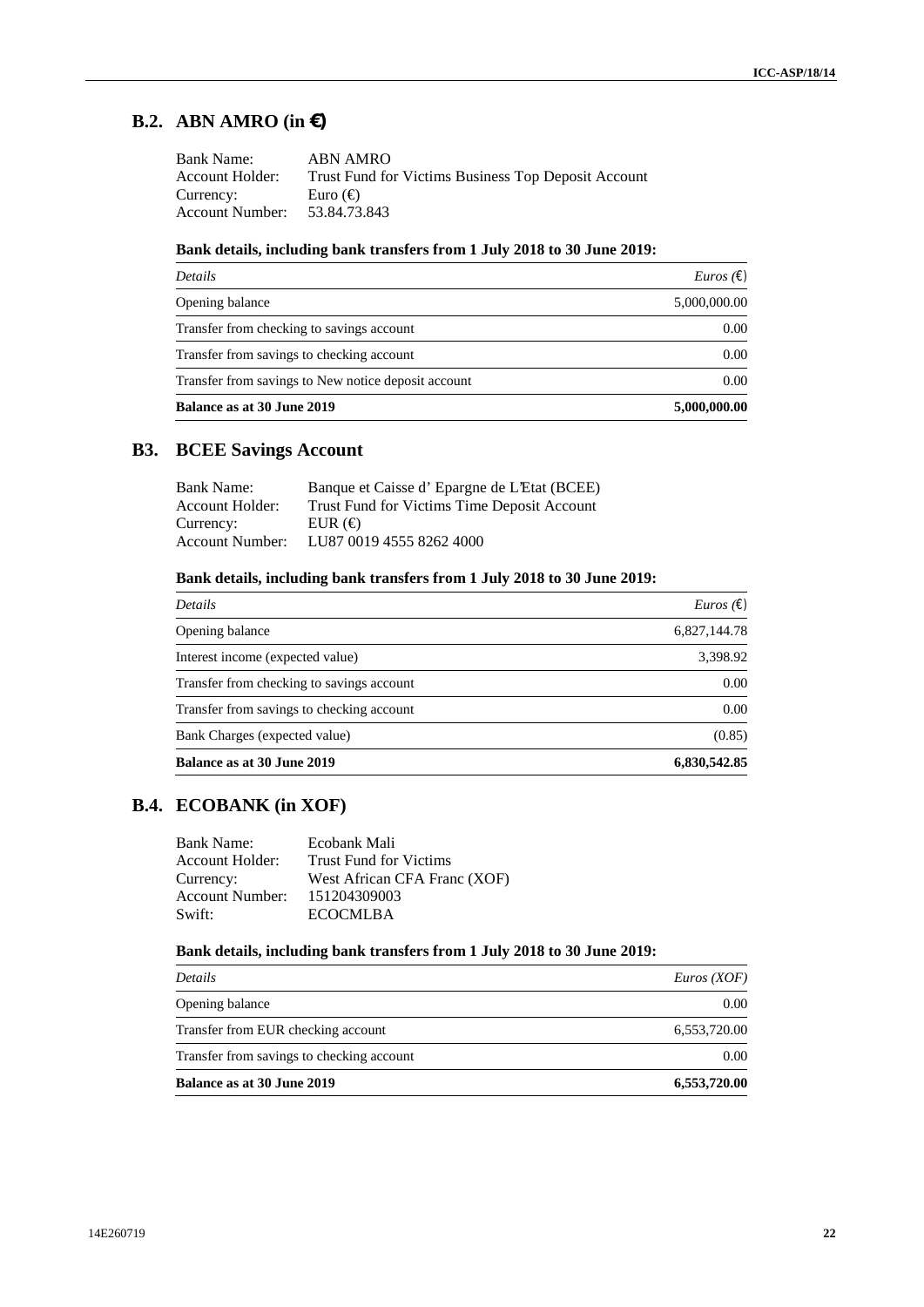## **B.2. ABN AMRO (in €)**

| <b>Bank Name:</b> | ABN AMRO                                            |
|-------------------|-----------------------------------------------------|
| Account Holder:   | Trust Fund for Victims Business Top Deposit Account |
| Currency:         | Euro $\Theta$                                       |
| Account Number:   | 53.84.73.843                                        |

### **Bank details, including bank transfers from 1 July 2018 to 30 June 2019:**

| Details                                             | <i>Euros</i> ( $\epsilon$ ) |  |
|-----------------------------------------------------|-----------------------------|--|
| Opening balance                                     | 5,000,000.00                |  |
| Transfer from checking to savings account           | 0.00                        |  |
| Transfer from savings to checking account           | 0.00                        |  |
| Transfer from savings to New notice deposit account | 0.00                        |  |
| Balance as at 30 June 2019                          | 5,000,000.00                |  |

## **B3. BCEE Savings Account**

| Bank Name:      | Banque et Caisse d'Epargne de L'Etat (BCEE) |
|-----------------|---------------------------------------------|
| Account Holder: | Trust Fund for Victims Time Deposit Account |
| Currency:       | $EUR$ ( $\Theta$ )                          |
| Account Number: | LU87 0019 4555 8262 4000                    |
|                 |                                             |

### **Bank details, including bank transfers from 1 July 2018 to 30 June 2019:**

| Details                                   | <i>Euros</i> $(\epsilon)$ |
|-------------------------------------------|---------------------------|
| Opening balance                           | 6,827,144.78              |
| Interest income (expected value)          | 3,398.92                  |
| Transfer from checking to savings account | 0.00                      |
| Transfer from savings to checking account | 0.00                      |
| Bank Charges (expected value)             | (0.85)                    |
| Balance as at 30 June 2019                | 6,830,542.85              |

## **B.4. ECOBANK (in XOF)**

| <b>Bank Name:</b> | Ecobank Mali                  |
|-------------------|-------------------------------|
| Account Holder:   | <b>Trust Fund for Victims</b> |
| Currency:         | West African CFA Franc (XOF)  |
| Account Number:   | 151204309003                  |
| Swift:            | ECOCMLBA                      |

### **Bank details, including bank transfers from 1 July 2018 to 30 June 2019:**

| Details                                   | Euros(XOF)   |
|-------------------------------------------|--------------|
| Opening balance                           | 0.00         |
| Transfer from EUR checking account        | 6,553,720.00 |
| Transfer from savings to checking account | 0.00         |
| <b>Balance as at 30 June 2019</b>         | 6,553,720.00 |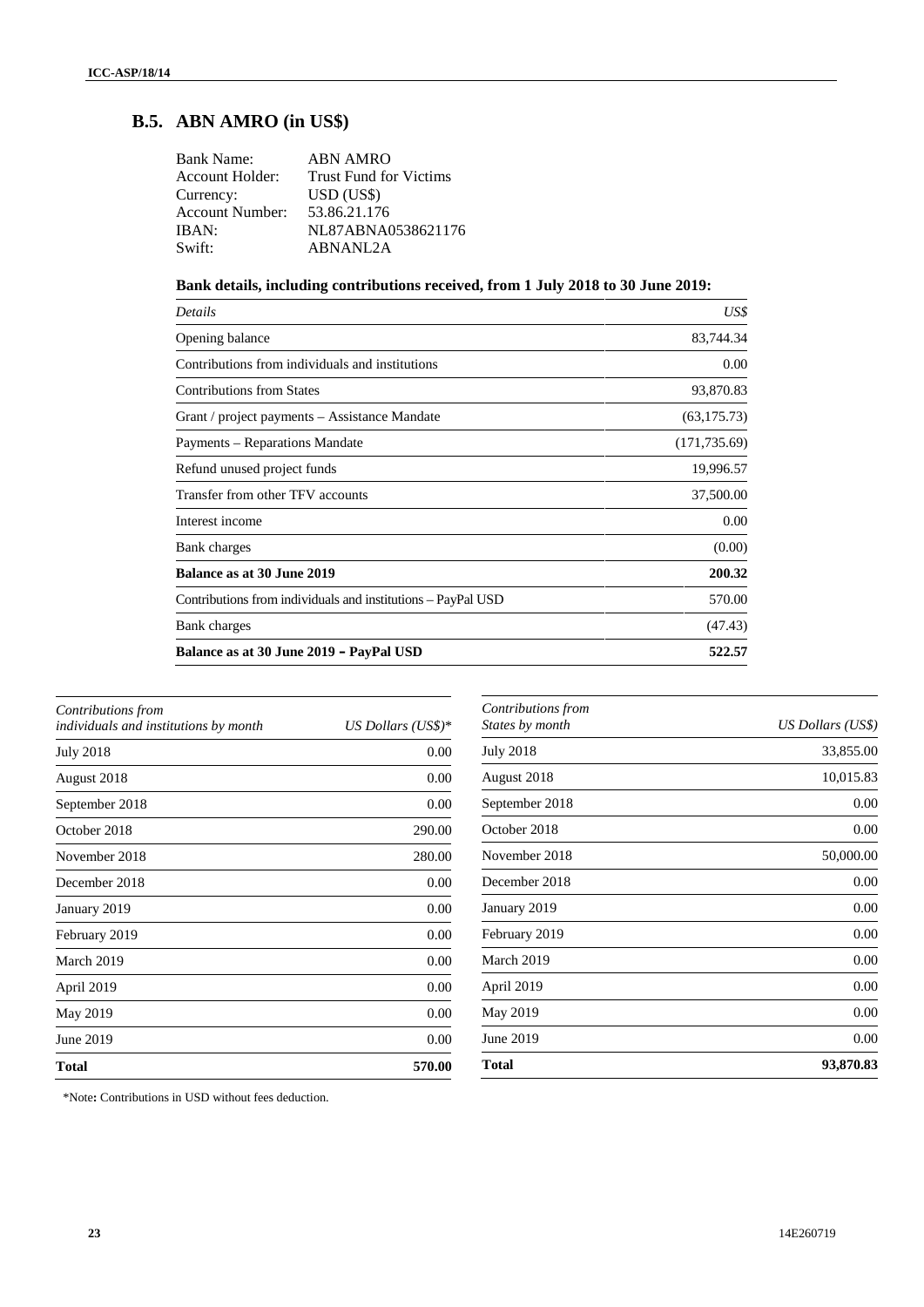## **B.5. ABN AMRO (in US\$)**

| ABN AMRO                               |
|----------------------------------------|
| Account Holder: Trust Fund for Victims |
| USD (USS)                              |
| 53.86.21.176                           |
| NL87ABNA0538621176                     |
| ABNANL2A                               |
|                                        |

## **Bank details, including contributions received, from 1 July 2018 to 30 June 2019:**

| Details                                                      | US\$          |
|--------------------------------------------------------------|---------------|
| Opening balance                                              | 83,744.34     |
| Contributions from individuals and institutions              | 0.00          |
| <b>Contributions from States</b>                             | 93,870.83     |
| Grant / project payments – Assistance Mandate                | (63, 175.73)  |
| Payments – Reparations Mandate                               | (171, 735.69) |
| Refund unused project funds                                  | 19,996.57     |
| Transfer from other TFV accounts                             | 37,500.00     |
| Interest income                                              | 0.00          |
| Bank charges                                                 | (0.00)        |
| Balance as at 30 June 2019                                   | 200.32        |
| Contributions from individuals and institutions – PayPal USD | 570.00        |
| Bank charges                                                 | (47.43)       |
| Balance as at 30 June 2019 - PayPal USD                      | 522.57        |

| Contributions from                           |                       |
|----------------------------------------------|-----------------------|
| <i>individuals and institutions by month</i> | $US$ Dollars $(US$)*$ |
| <b>July 2018</b>                             | 0.00                  |
| August 2018                                  | 0.00                  |
| September 2018                               | 0.00                  |
| October 2018                                 | 290.00                |
| November 2018                                | 280.00                |
| December 2018                                | 0.00                  |
| January 2019                                 | 0.00                  |
| February 2019                                | 0.00                  |
| March 2019                                   | 0.00                  |
| April 2019                                   | 0.00                  |
| May 2019                                     | 0.00                  |
| June 2019                                    | 0.00                  |
| <b>Total</b>                                 | 570.00                |

| Contributions from<br>States by month | US Dollars (US\$) |
|---------------------------------------|-------------------|
| <b>July 2018</b>                      | 33,855.00         |
| August 2018                           | 10,015.83         |
| September 2018                        | 0.00              |
| October 2018                          | 0.00              |
| November 2018                         | 50,000.00         |
| December 2018                         | 0.00              |
| January 2019                          | 0.00              |
| February 2019                         | 0.00              |
| March 2019                            | 0.00              |
| April 2019                            | 0.00              |
| May 2019                              | 0.00              |
| June 2019                             | 0.00              |
| <b>Total</b>                          | 93,870.83         |
|                                       |                   |

\*Note**:** Contributions in USD without fees deduction.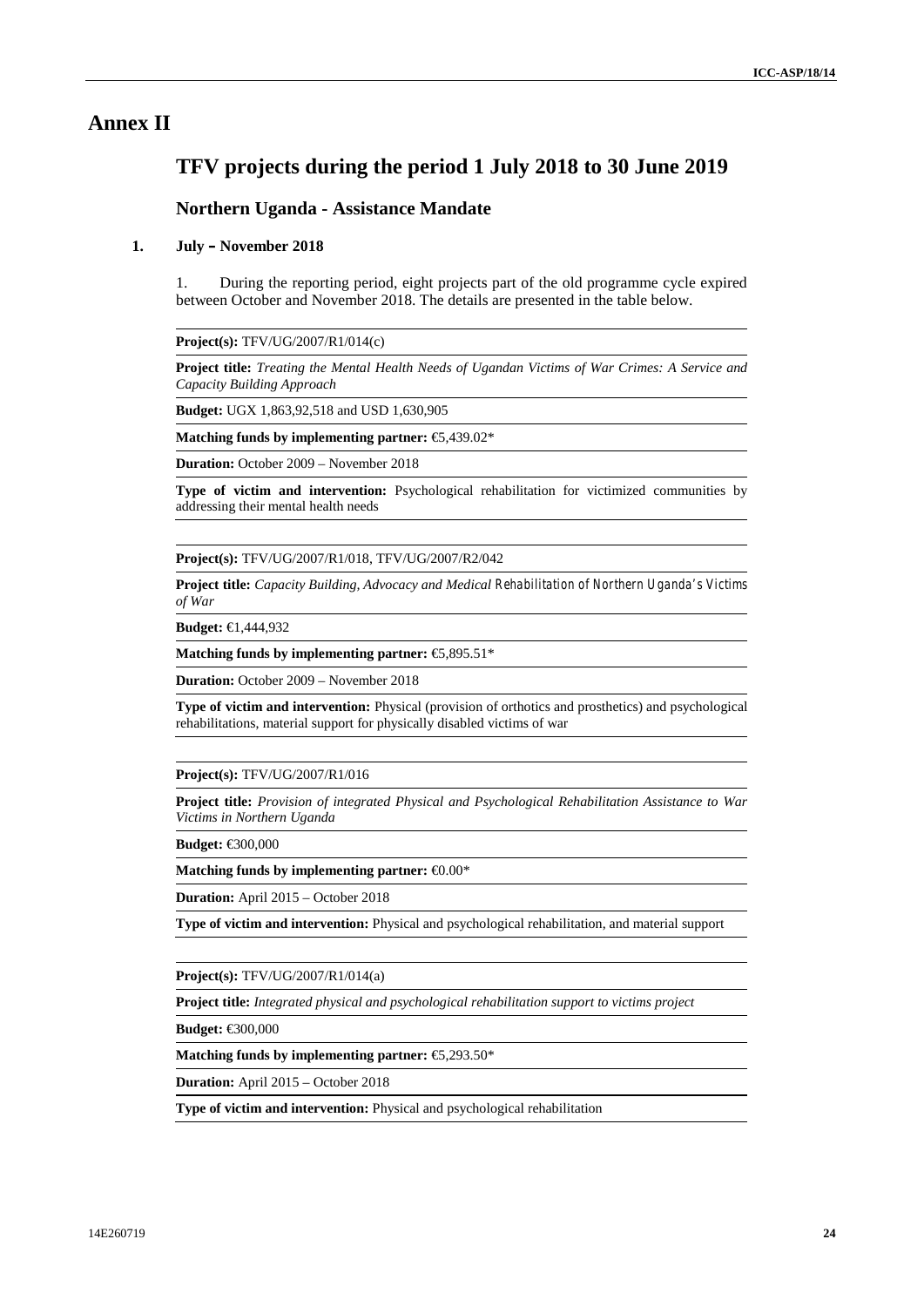## **Annex II**

## **TFV projects during the period 1 July 2018 to 30 June 2019**

## **Northern Uganda - Assistance Mandate**

### **1. July – November 2018**

1. During the reporting period, eight projects part of the old programme cycle expired between October and November 2018. The details are presented in the table below.

**Project(s):** TFV/UG/2007/R1/014(c)

**Project title:** *Treating the Mental Health Needs of Ugandan Victims of War Crimes: A Service and Capacity Building Approach*

**Budget:** UGX 1,863,92,518 and USD 1,630,905

**Matching funds by implementing partner:** €5,439.02\*

**Duration:** October 2009 – November 2018

**Type of victim and intervention:** Psychological rehabilitation for victimized communities by addressing their mental health needs

**Project(s):** TFV/UG/2007/R1/018, TFV/UG/2007/R2/042

**Project title:** *Capacity Building, Advocacy and Medical Rehabilitation of Northern Uganda's Victims of War*

**Budget:** €1,444,932

**Matching funds by implementing partner:** €5,895.51\*

**Duration:** October 2009 – November 2018

**Type of victim and intervention:** Physical (provision of orthotics and prosthetics) and psychological rehabilitations, material support for physically disabled victims of war

#### **Project(s):** TFV/UG/2007/R1/016

**Project title:** *Provision of integrated Physical and Psychological Rehabilitation Assistance to War Victims in Northern Uganda*

**Budget:** €300,000

**Matching funds by implementing partner:** €0.00\*

**Duration:** April 2015 – October 2018

**Type of victim and intervention:** Physical and psychological rehabilitation, and material support

**Project(s):** TFV/UG/2007/R1/014(a)

**Project title:** *Integrated physical and psychological rehabilitation support to victims project*

**Budget:** €300,000

**Matching funds by implementing partner:** €5,293.50\*

**Duration:** April 2015 – October 2018

**Type of victim and intervention:** Physical and psychological rehabilitation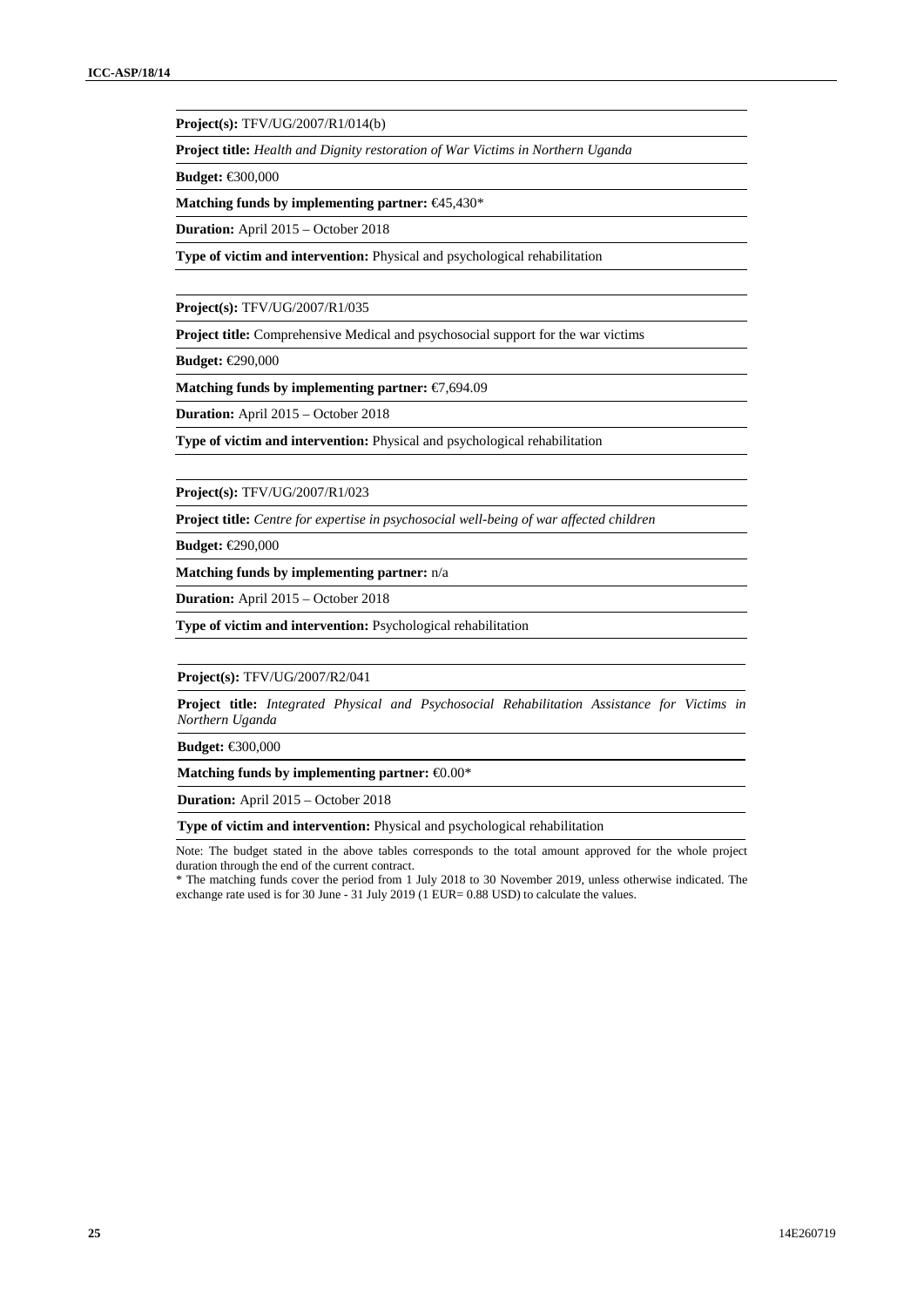**Project(s):** TFV/UG/2007/R1/014(b)

**Project title:** *Health and Dignity restoration of War Victims in Northern Uganda*

**Budget:** €300,000

**Matching funds by implementing partner:** €45,430\*

**Duration:** April 2015 – October 2018

**Type of victim and intervention:** Physical and psychological rehabilitation

**Project(s):** TFV/UG/2007/R1/035

**Project title:** Comprehensive Medical and psychosocial support for the war victims

**Budget:** €290,000

**Matching funds by implementing partner:** €7,694.09

**Duration:** April 2015 – October 2018

**Type of victim and intervention:** Physical and psychological rehabilitation

**Project(s):** TFV/UG/2007/R1/023

**Project title:** *Centre for expertise in psychosocial well-being of war affected children*

**Budget:** €290,000

**Matching funds by implementing partner:** n/a

**Duration:** April 2015 – October 2018

**Type of victim and intervention:** Psychological rehabilitation

**Project(s):** TFV/UG/2007/R2/041

**Project title:** *Integrated Physical and Psychosocial Rehabilitation Assistance for Victims in Northern Uganda*

**Budget:** €300,000

**Matching funds by implementing partner:** €0.00\*

**Duration:** April 2015 – October 2018

**Type of victim and intervention:** Physical and psychological rehabilitation

Note: The budget stated in the above tables corresponds to the total amount approved for the whole project duration through the end of the current contract.

\* The matching funds cover the period from 1 July 2018 to 30 November 2019, unless otherwise indicated. The exchange rate used is for 30 June - 31 July 2019 (1 EUR= 0.88 USD) to calculate the values.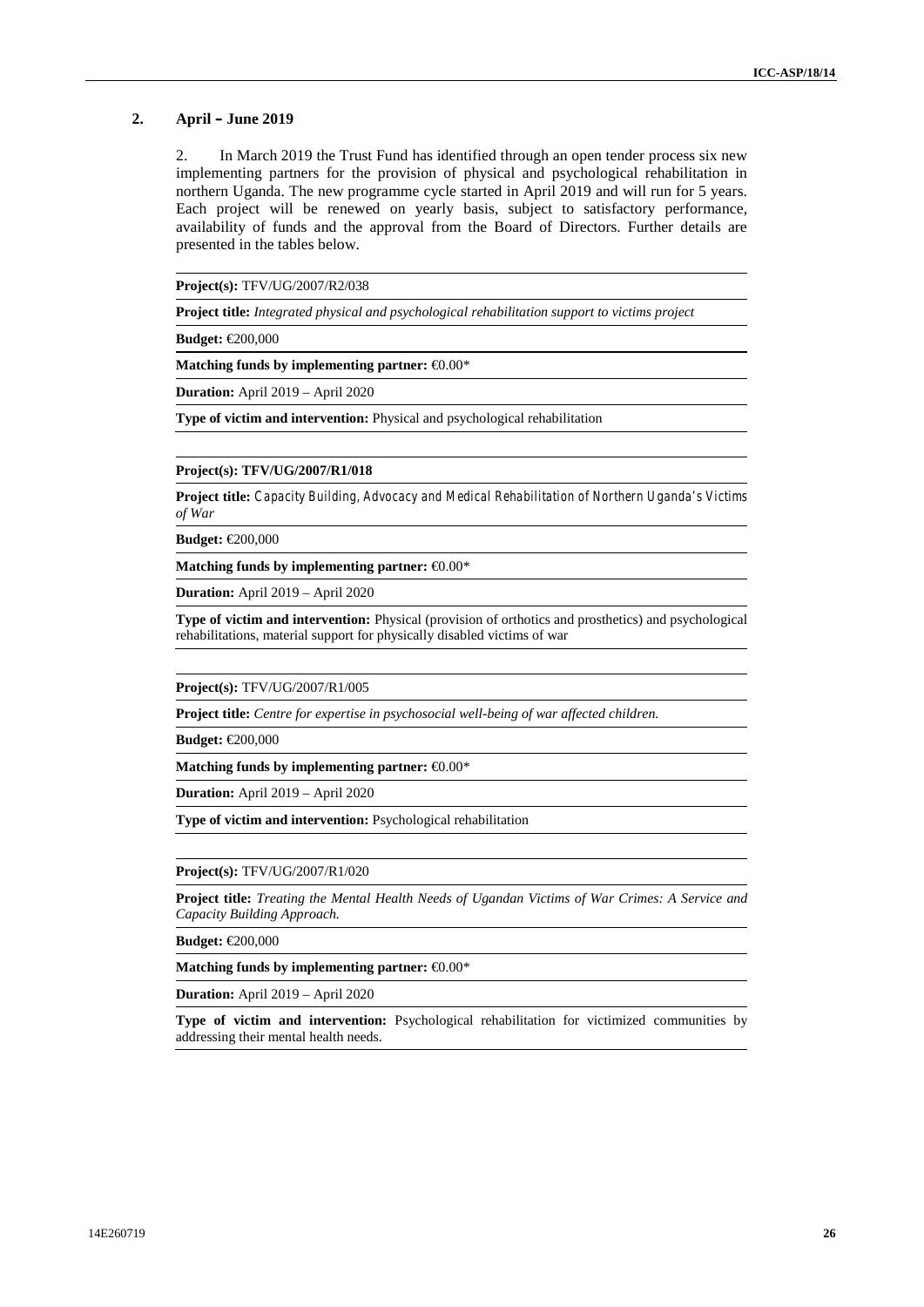#### **2. April – June 2019**

2. In March 2019 the Trust Fund has identified through an open tender process six new implementing partners for the provision of physical and psychological rehabilitation in northern Uganda. The new programme cycle started in April 2019 and will run for 5 years. Each project will be renewed on yearly basis, subject to satisfactory performance, availability of funds and the approval from the Board of Directors. Further details are presented in the tables below.

**Project(s):** TFV/UG/2007/R2/038

**Project title:** *Integrated physical and psychological rehabilitation support to victims project*

**Budget:** €200,000

**Matching funds by implementing partner:** €0.00\*

**Duration:** April 2019 – April 2020

**Type of victim and intervention:** Physical and psychological rehabilitation

#### **Project(s): TFV/UG/2007/R1/018**

**Project title:** *Capacity Building, Advocacy and Medical Rehabilitation of Northern Uganda's Victims of War*

**Budget:** €200,000

**Matching funds by implementing partner:** €0.00\*

**Duration:** April 2019 – April 2020

**Type of victim and intervention:** Physical (provision of orthotics and prosthetics) and psychological rehabilitations, material support for physically disabled victims of war

**Project(s):** TFV/UG/2007/R1/005

**Project title:** *Centre for expertise in psychosocial well-being of war affected children.*

**Budget:** €200,000

**Matching funds by implementing partner:** €0.00\*

**Duration:** April 2019 – April 2020

**Type of victim and intervention:** Psychological rehabilitation

**Project(s):** TFV/UG/2007/R1/020

**Project title:** *Treating the Mental Health Needs of Ugandan Victims of War Crimes: A Service and Capacity Building Approach.*

**Budget:** €200,000

**Matching funds by implementing partner:** €0.00\*

**Duration:** April 2019 – April 2020

**Type of victim and intervention:** Psychological rehabilitation for victimized communities by addressing their mental health needs.